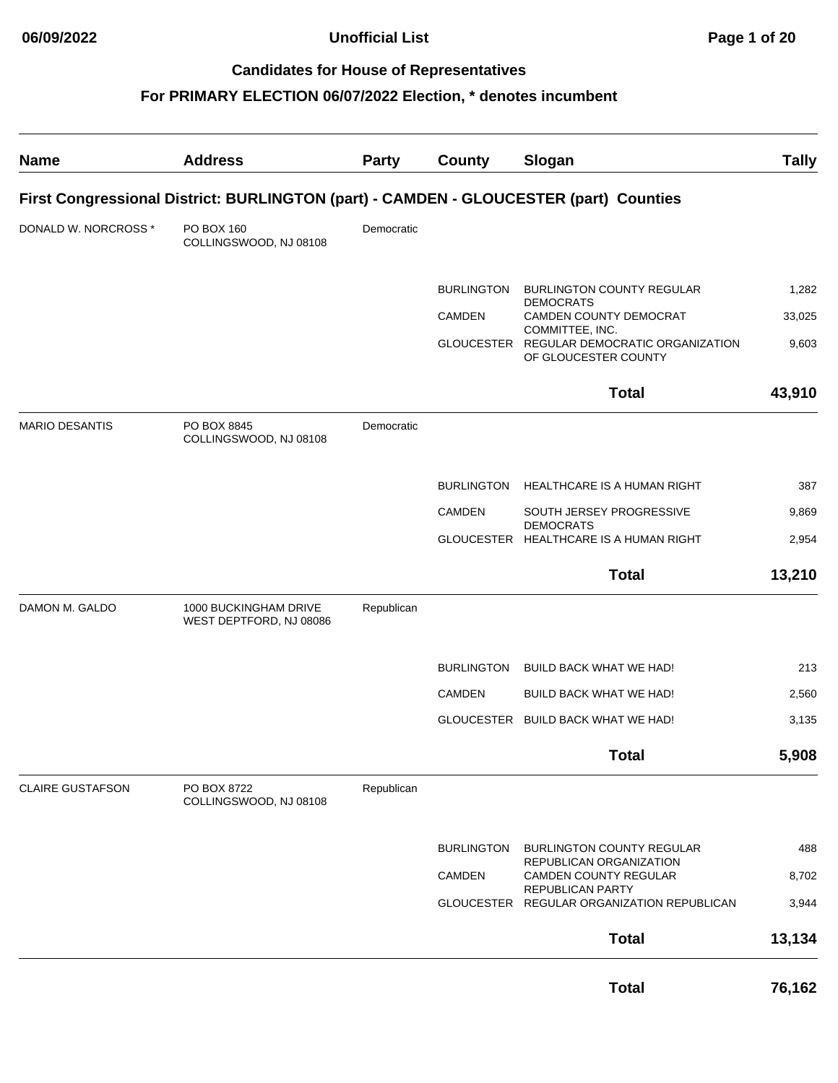**06/09/2022 Unofficial List Page 1 of 20**

# **Candidates for House of Representatives**

| <b>Name</b>             | <b>Address</b>                                                                        | <b>Party</b> | County            | Slogan                                                                                | <b>Tally</b> |
|-------------------------|---------------------------------------------------------------------------------------|--------------|-------------------|---------------------------------------------------------------------------------------|--------------|
|                         | First Congressional District: BURLINGTON (part) - CAMDEN - GLOUCESTER (part) Counties |              |                   |                                                                                       |              |
| DONALD W. NORCROSS *    | PO BOX 160<br>COLLINGSWOOD, NJ 08108                                                  | Democratic   |                   |                                                                                       |              |
|                         |                                                                                       |              | <b>BURLINGTON</b> | <b>BURLINGTON COUNTY REGULAR</b>                                                      | 1,282        |
|                         |                                                                                       |              | <b>CAMDEN</b>     | <b>DEMOCRATS</b><br>CAMDEN COUNTY DEMOCRAT                                            | 33,025       |
|                         |                                                                                       |              |                   | COMMITTEE, INC.<br>GLOUCESTER REGULAR DEMOCRATIC ORGANIZATION<br>OF GLOUCESTER COUNTY | 9,603        |
|                         |                                                                                       |              |                   | <b>Total</b>                                                                          | 43,910       |
| <b>MARIO DESANTIS</b>   | PO BOX 8845<br>COLLINGSWOOD, NJ 08108                                                 | Democratic   |                   |                                                                                       |              |
|                         |                                                                                       |              | <b>BURLINGTON</b> | HEALTHCARE IS A HUMAN RIGHT                                                           | 387          |
|                         |                                                                                       |              | <b>CAMDEN</b>     | SOUTH JERSEY PROGRESSIVE                                                              | 9,869        |
|                         |                                                                                       |              |                   | <b>DEMOCRATS</b><br>GLOUCESTER HEALTHCARE IS A HUMAN RIGHT                            | 2,954        |
|                         |                                                                                       |              |                   | <b>Total</b>                                                                          | 13,210       |
| DAMON M. GALDO          | 1000 BUCKINGHAM DRIVE<br>WEST DEPTFORD, NJ 08086                                      | Republican   |                   |                                                                                       |              |
|                         |                                                                                       |              | <b>BURLINGTON</b> | BUILD BACK WHAT WE HAD!                                                               | 213          |
|                         |                                                                                       |              | <b>CAMDEN</b>     | <b>BUILD BACK WHAT WE HAD!</b>                                                        | 2,560        |
|                         |                                                                                       |              |                   | GLOUCESTER BUILD BACK WHAT WE HAD!                                                    | 3,135        |
|                         |                                                                                       |              |                   | Total                                                                                 | 5,908        |
| <b>CLAIRE GUSTAFSON</b> | PO BOX 8722<br>COLLINGSWOOD, NJ 08108                                                 | Republican   |                   |                                                                                       |              |
|                         |                                                                                       |              | <b>BURLINGTON</b> | <b>BURLINGTON COUNTY REGULAR</b>                                                      | 488          |
|                         |                                                                                       |              | CAMDEN            | REPUBLICAN ORGANIZATION<br><b>CAMDEN COUNTY REGULAR</b>                               | 8,702        |
|                         |                                                                                       |              |                   | REPUBLICAN PARTY<br>GLOUCESTER REGULAR ORGANIZATION REPUBLICAN                        | 3,944        |
|                         |                                                                                       |              |                   | <b>Total</b>                                                                          | 13,134       |
|                         |                                                                                       |              |                   | <b>Total</b>                                                                          | 76,162       |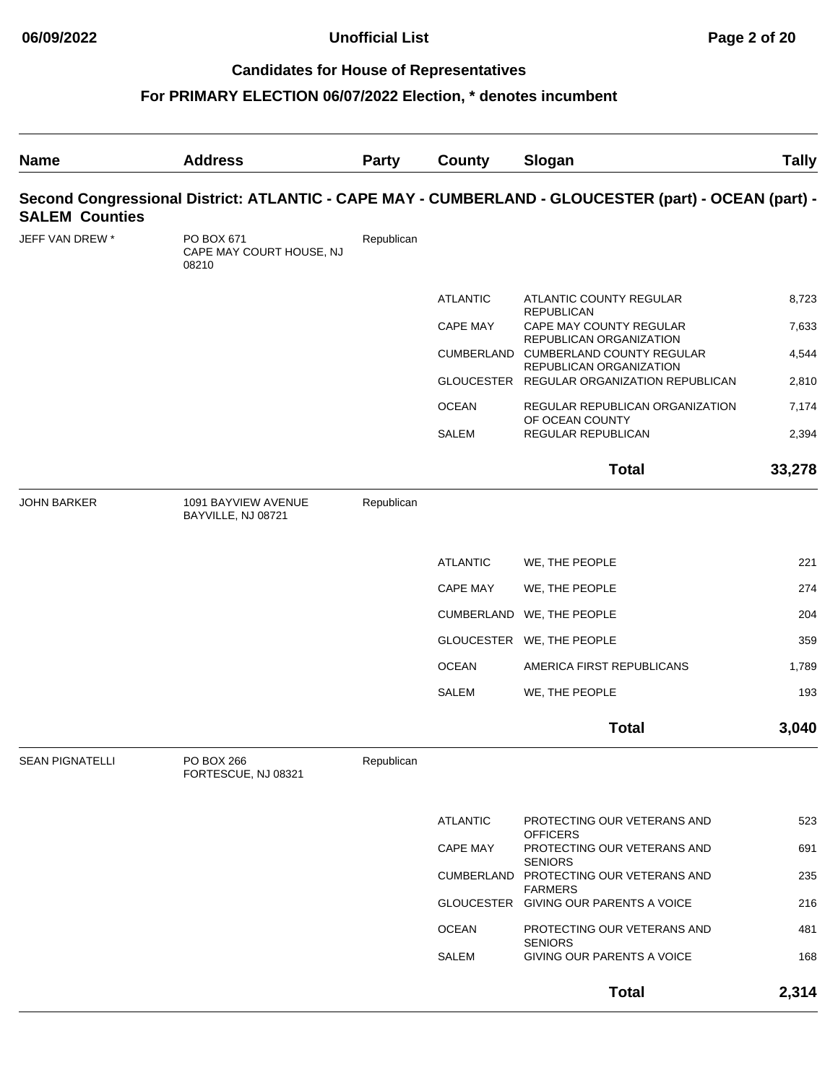| <b>Name</b>            | <b>Address</b>                                  | Party      | County          | Slogan                                                                                               | <b>Tally</b> |
|------------------------|-------------------------------------------------|------------|-----------------|------------------------------------------------------------------------------------------------------|--------------|
| <b>SALEM Counties</b>  |                                                 |            |                 | Second Congressional District: ATLANTIC - CAPE MAY - CUMBERLAND - GLOUCESTER (part) - OCEAN (part) - |              |
| JEFF VAN DREW *        | PO BOX 671<br>CAPE MAY COURT HOUSE, NJ<br>08210 | Republican |                 |                                                                                                      |              |
|                        |                                                 |            | <b>ATLANTIC</b> | ATLANTIC COUNTY REGULAR                                                                              | 8,723        |
|                        |                                                 |            | CAPE MAY        | <b>REPUBLICAN</b><br>CAPE MAY COUNTY REGULAR                                                         | 7,633        |
|                        |                                                 |            |                 | REPUBLICAN ORGANIZATION<br>CUMBERLAND CUMBERLAND COUNTY REGULAR                                      | 4,544        |
|                        |                                                 |            |                 | REPUBLICAN ORGANIZATION<br>GLOUCESTER REGULAR ORGANIZATION REPUBLICAN                                | 2,810        |
|                        |                                                 |            | <b>OCEAN</b>    | REGULAR REPUBLICAN ORGANIZATION                                                                      | 7,174        |
|                        |                                                 |            | <b>SALEM</b>    | OF OCEAN COUNTY<br><b>REGULAR REPUBLICAN</b>                                                         | 2,394        |
|                        |                                                 |            |                 | <b>Total</b>                                                                                         | 33,278       |
| <b>JOHN BARKER</b>     | 1091 BAYVIEW AVENUE<br>BAYVILLE, NJ 08721       | Republican |                 |                                                                                                      |              |
|                        |                                                 |            | <b>ATLANTIC</b> | WE, THE PEOPLE                                                                                       | 221          |
|                        |                                                 |            | <b>CAPE MAY</b> | WE, THE PEOPLE                                                                                       | 274          |
|                        |                                                 |            |                 | CUMBERLAND WE, THE PEOPLE                                                                            | 204          |
|                        |                                                 |            |                 | GLOUCESTER WE, THE PEOPLE                                                                            | 359          |
|                        |                                                 |            | <b>OCEAN</b>    | AMERICA FIRST REPUBLICANS                                                                            | 1,789        |
|                        |                                                 |            | <b>SALEM</b>    | WE, THE PEOPLE                                                                                       | 193          |
|                        |                                                 |            |                 | <b>Total</b>                                                                                         | 3,040        |
| <b>SEAN PIGNATELLI</b> | PO BOX 266<br>FORTESCUE, NJ 08321               | Republican |                 |                                                                                                      |              |
|                        |                                                 |            | <b>ATLANTIC</b> | PROTECTING OUR VETERANS AND                                                                          | 523          |
|                        |                                                 |            | <b>CAPE MAY</b> | <b>OFFICERS</b><br>PROTECTING OUR VETERANS AND                                                       | 691          |
|                        |                                                 |            |                 | <b>SENIORS</b><br>CUMBERLAND PROTECTING OUR VETERANS AND                                             | 235          |
|                        |                                                 |            |                 | <b>FARMERS</b><br>GLOUCESTER GIVING OUR PARENTS A VOICE                                              | 216          |
|                        |                                                 |            | <b>OCEAN</b>    | PROTECTING OUR VETERANS AND                                                                          | 481          |
|                        |                                                 |            | SALEM           | <b>SENIORS</b><br>GIVING OUR PARENTS A VOICE                                                         | 168          |
|                        |                                                 |            |                 | <b>Total</b>                                                                                         | 2,314        |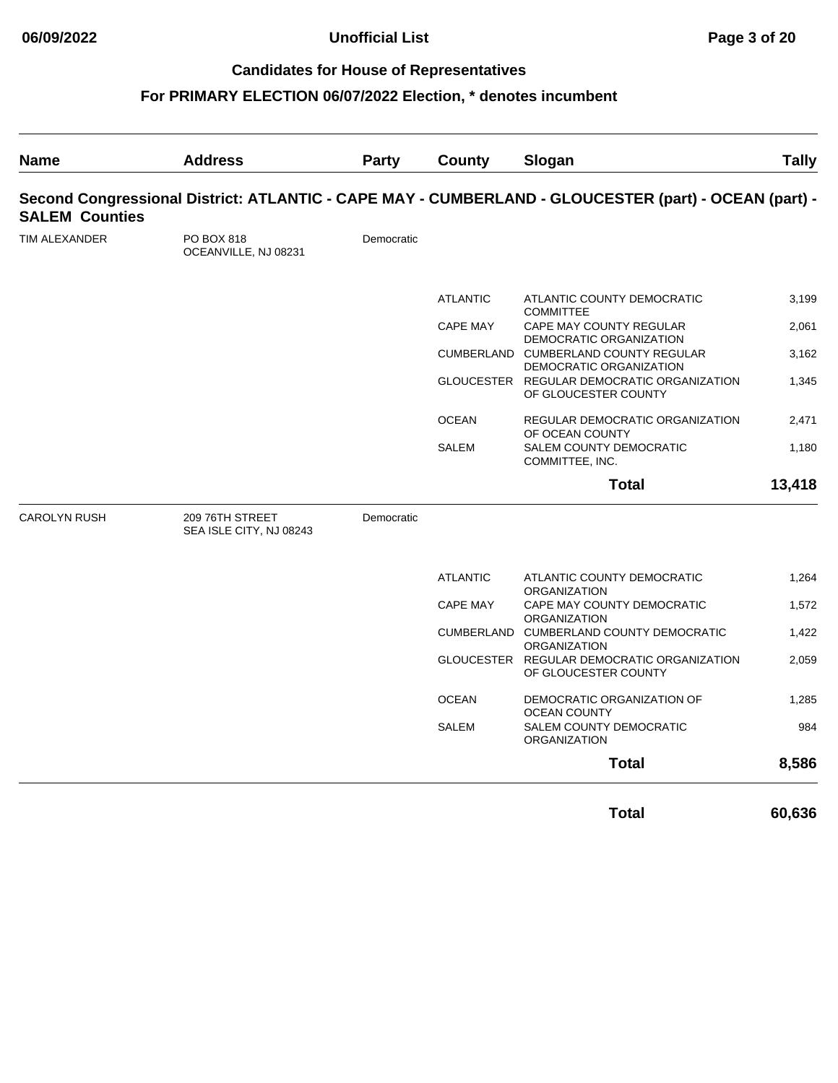# **For PRIMARY ELECTION 06/07/2022 Election, \* denotes incumbent**

| <b>Name</b>           | <b>Address</b>                             | Party      | County          | Slogan                                                                                               | <b>Tally</b> |
|-----------------------|--------------------------------------------|------------|-----------------|------------------------------------------------------------------------------------------------------|--------------|
| <b>SALEM Counties</b> |                                            |            |                 | Second Congressional District: ATLANTIC - CAPE MAY - CUMBERLAND - GLOUCESTER (part) - OCEAN (part) - |              |
| TIM ALEXANDER         | PO BOX 818<br>OCEANVILLE, NJ 08231         | Democratic |                 |                                                                                                      |              |
|                       |                                            |            | <b>ATLANTIC</b> | ATLANTIC COUNTY DEMOCRATIC<br><b>COMMITTEE</b>                                                       | 3,199        |
|                       |                                            |            | <b>CAPE MAY</b> | CAPE MAY COUNTY REGULAR<br>DEMOCRATIC ORGANIZATION                                                   | 2,061        |
|                       |                                            |            |                 | CUMBERLAND CUMBERLAND COUNTY REGULAR                                                                 | 3,162        |
|                       |                                            |            |                 | DEMOCRATIC ORGANIZATION<br>GLOUCESTER REGULAR DEMOCRATIC ORGANIZATION<br>OF GLOUCESTER COUNTY        | 1,345        |
|                       |                                            |            | <b>OCEAN</b>    | REGULAR DEMOCRATIC ORGANIZATION                                                                      | 2,471        |
|                       |                                            |            | <b>SALEM</b>    | OF OCEAN COUNTY<br>SALEM COUNTY DEMOCRATIC<br>COMMITTEE, INC.                                        | 1,180        |
|                       |                                            |            |                 | <b>Total</b>                                                                                         | 13,418       |
| <b>CAROLYN RUSH</b>   | 209 76TH STREET<br>SEA ISLE CITY, NJ 08243 | Democratic |                 |                                                                                                      |              |
|                       |                                            |            | <b>ATLANTIC</b> | ATLANTIC COUNTY DEMOCRATIC<br><b>ORGANIZATION</b>                                                    | 1,264        |
|                       |                                            |            | <b>CAPE MAY</b> | CAPE MAY COUNTY DEMOCRATIC                                                                           | 1,572        |
|                       |                                            |            |                 | <b>ORGANIZATION</b><br>CUMBERLAND CUMBERLAND COUNTY DEMOCRATIC                                       | 1,422        |
|                       |                                            |            |                 | <b>ORGANIZATION</b><br>GLOUCESTER REGULAR DEMOCRATIC ORGANIZATION<br>OF GLOUCESTER COUNTY            | 2,059        |
|                       |                                            |            | <b>OCEAN</b>    | DEMOCRATIC ORGANIZATION OF<br><b>OCEAN COUNTY</b>                                                    | 1,285        |
|                       |                                            |            | <b>SALEM</b>    | SALEM COUNTY DEMOCRATIC<br><b>ORGANIZATION</b>                                                       | 984          |
|                       |                                            |            |                 | <b>Total</b>                                                                                         | 8,586        |

**Total 60,636**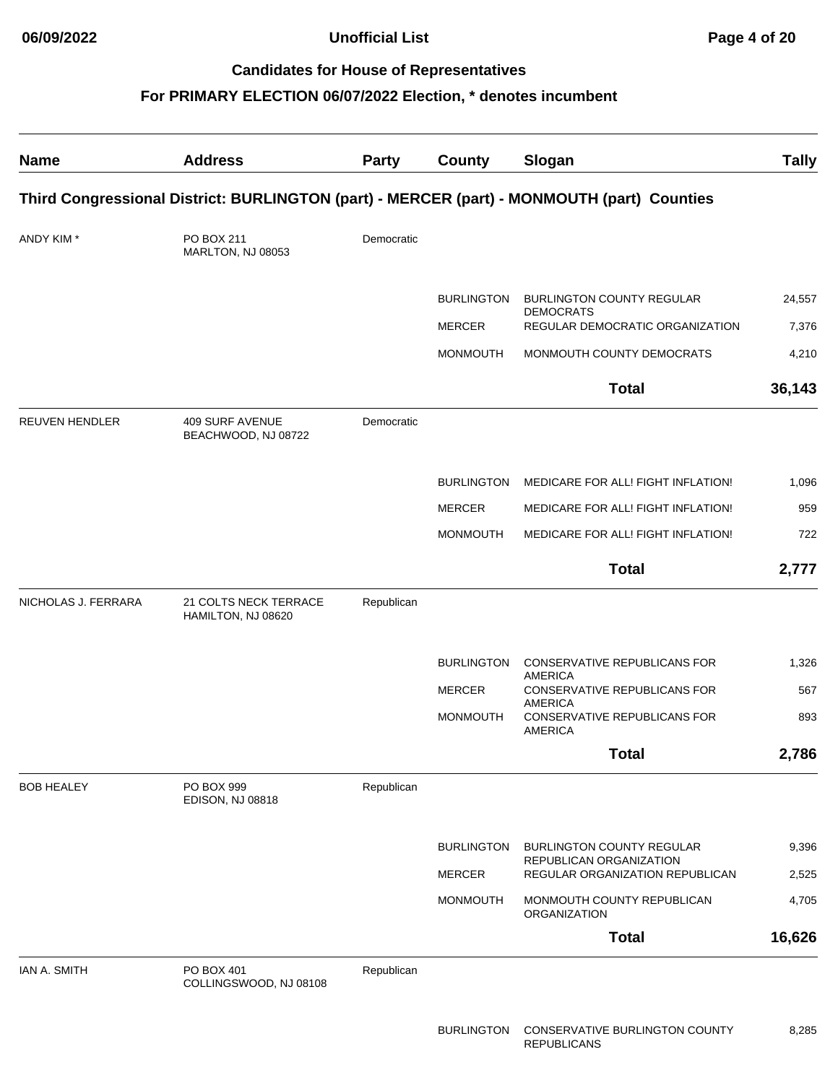**06/09/2022 Unofficial List Page 4 of 20**

#### **Candidates for House of Representatives**

| <b>Name</b>         | <b>Address</b>                                | <b>Party</b> | County            | Slogan                                                                                     | <b>Tally</b> |
|---------------------|-----------------------------------------------|--------------|-------------------|--------------------------------------------------------------------------------------------|--------------|
|                     |                                               |              |                   | Third Congressional District: BURLINGTON (part) - MERCER (part) - MONMOUTH (part) Counties |              |
| ANDY KIM*           | PO BOX 211<br>MARLTON, NJ 08053               | Democratic   |                   |                                                                                            |              |
|                     |                                               |              | <b>BURLINGTON</b> | <b>BURLINGTON COUNTY REGULAR</b>                                                           | 24,557       |
|                     |                                               |              | <b>MERCER</b>     | <b>DEMOCRATS</b><br>REGULAR DEMOCRATIC ORGANIZATION                                        | 7,376        |
|                     |                                               |              | <b>MONMOUTH</b>   | MONMOUTH COUNTY DEMOCRATS                                                                  | 4,210        |
|                     |                                               |              |                   | <b>Total</b>                                                                               | 36,143       |
| REUVEN HENDLER      | <b>409 SURF AVENUE</b><br>BEACHWOOD, NJ 08722 | Democratic   |                   |                                                                                            |              |
|                     |                                               |              | <b>BURLINGTON</b> | MEDICARE FOR ALL! FIGHT INFLATION!                                                         | 1,096        |
|                     |                                               |              | <b>MERCER</b>     | MEDICARE FOR ALL! FIGHT INFLATION!                                                         | 959          |
|                     |                                               |              | <b>MONMOUTH</b>   | MEDICARE FOR ALL! FIGHT INFLATION!                                                         | 722          |
|                     |                                               |              |                   | <b>Total</b>                                                                               | 2,777        |
| NICHOLAS J. FERRARA | 21 COLTS NECK TERRACE<br>HAMILTON, NJ 08620   | Republican   |                   |                                                                                            |              |
|                     |                                               |              | <b>BURLINGTON</b> | CONSERVATIVE REPUBLICANS FOR                                                               | 1,326        |
|                     |                                               |              | <b>MERCER</b>     | <b>AMERICA</b><br>CONSERVATIVE REPUBLICANS FOR<br><b>AMERICA</b>                           | 567          |
|                     |                                               |              | <b>MONMOUTH</b>   | CONSERVATIVE REPUBLICANS FOR<br><b>AMERICA</b>                                             | 893          |
|                     |                                               |              |                   | <b>Total</b>                                                                               | 2,786        |
| <b>BOB HEALEY</b>   | PO BOX 999<br>EDISON, NJ 08818                | Republican   |                   |                                                                                            |              |
|                     |                                               |              | <b>BURLINGTON</b> | <b>BURLINGTON COUNTY REGULAR</b>                                                           | 9,396        |
|                     |                                               |              | <b>MERCER</b>     | REPUBLICAN ORGANIZATION<br>REGULAR ORGANIZATION REPUBLICAN                                 | 2,525        |
|                     |                                               |              | <b>MONMOUTH</b>   | MONMOUTH COUNTY REPUBLICAN<br>ORGANIZATION                                                 | 4,705        |
|                     |                                               |              |                   | <b>Total</b>                                                                               | 16,626       |
| IAN A. SMITH        | PO BOX 401<br>COLLINGSWOOD, NJ 08108          | Republican   |                   |                                                                                            |              |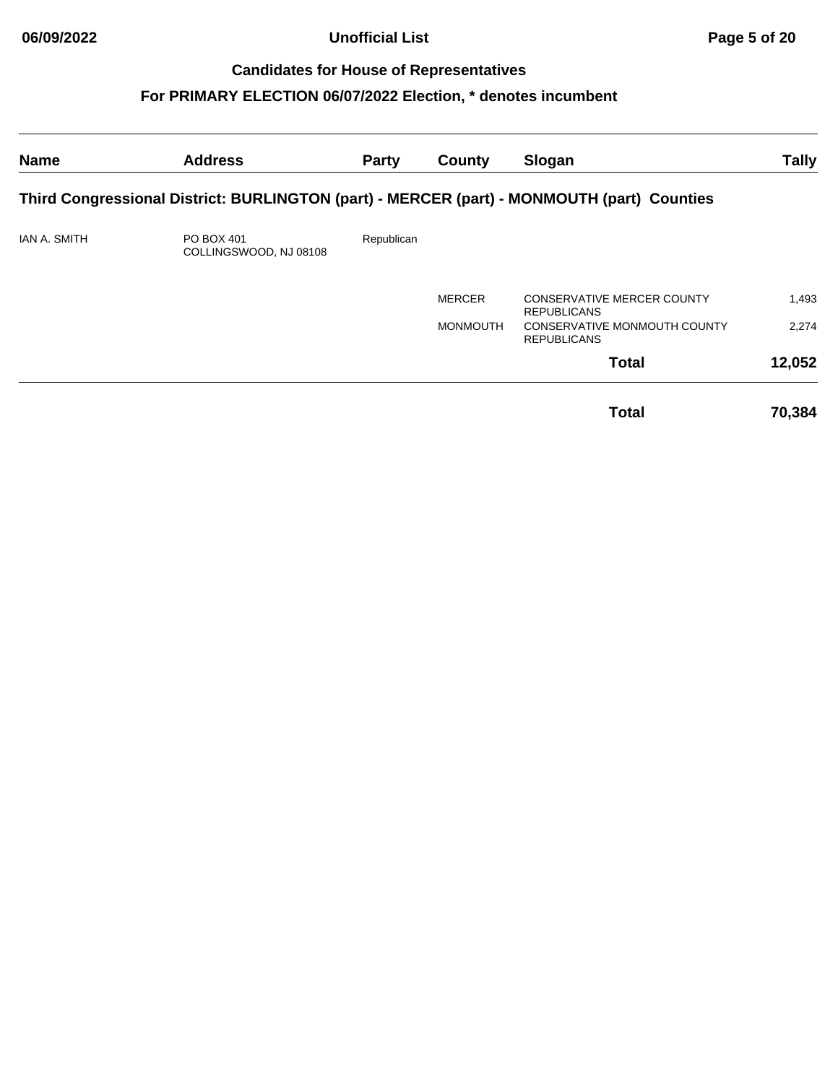**06/09/2022 Unofficial List Page 5 of 20**

# **Candidates for House of Representatives**

| <b>Name</b>         | <b>Address</b>                                                                             | Party      | County          | Slogan                                                  | <b>Tally</b> |
|---------------------|--------------------------------------------------------------------------------------------|------------|-----------------|---------------------------------------------------------|--------------|
|                     | Third Congressional District: BURLINGTON (part) - MERCER (part) - MONMOUTH (part) Counties |            |                 |                                                         |              |
| <b>IAN A. SMITH</b> | PO BOX 401<br>COLLINGSWOOD, NJ 08108                                                       | Republican |                 |                                                         |              |
|                     |                                                                                            |            | <b>MERCER</b>   | <b>CONSERVATIVE MERCER COUNTY</b><br><b>REPUBLICANS</b> | 1,493        |
|                     |                                                                                            |            | <b>MONMOUTH</b> | CONSERVATIVE MONMOUTH COUNTY<br><b>REPUBLICANS</b>      | 2,274        |
|                     |                                                                                            |            |                 | <b>Total</b>                                            | 12,052       |
|                     |                                                                                            |            |                 | <b>Total</b>                                            | 70,384       |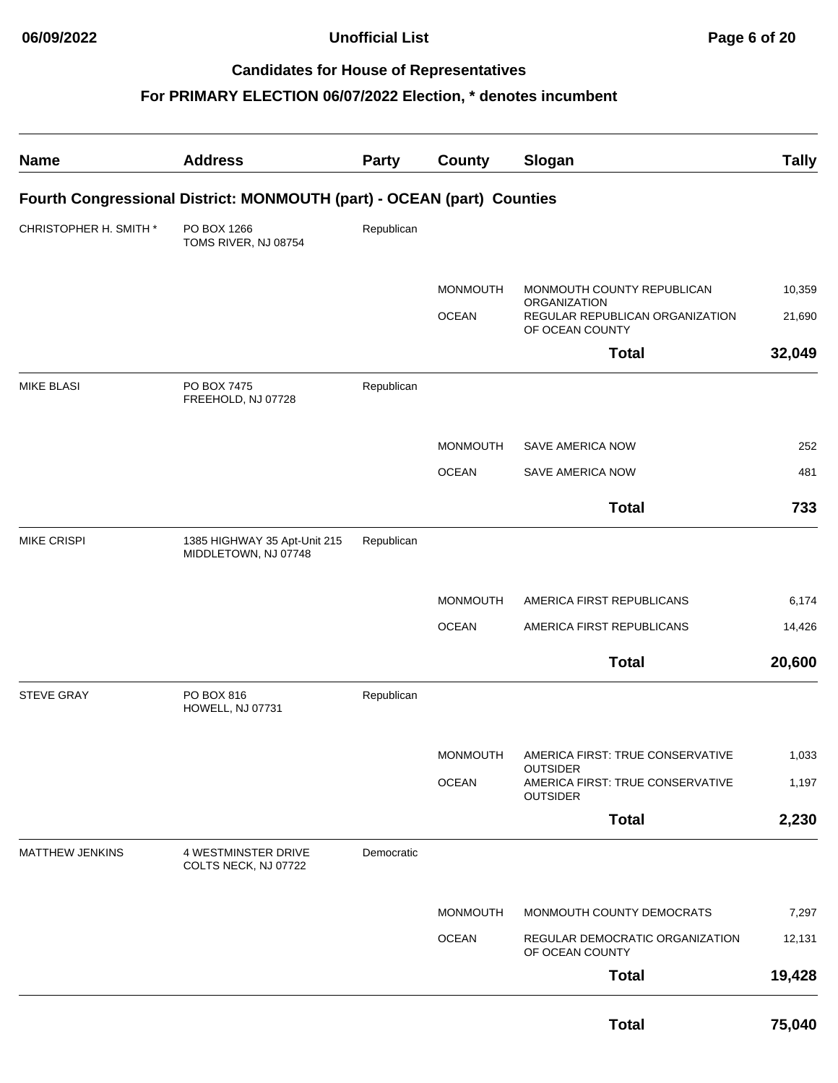| <b>Name</b>            | <b>Address</b>                                                         | Party      | <b>County</b>   | Slogan                                                                 | <b>Tally</b> |
|------------------------|------------------------------------------------------------------------|------------|-----------------|------------------------------------------------------------------------|--------------|
|                        | Fourth Congressional District: MONMOUTH (part) - OCEAN (part) Counties |            |                 |                                                                        |              |
| CHRISTOPHER H. SMITH * | PO BOX 1266<br>TOMS RIVER, NJ 08754                                    | Republican |                 |                                                                        |              |
|                        |                                                                        |            | <b>MONMOUTH</b> | MONMOUTH COUNTY REPUBLICAN                                             | 10,359       |
|                        |                                                                        |            | <b>OCEAN</b>    | ORGANIZATION<br>REGULAR REPUBLICAN ORGANIZATION<br>OF OCEAN COUNTY     | 21,690       |
|                        |                                                                        |            |                 | <b>Total</b>                                                           | 32,049       |
| <b>MIKE BLASI</b>      | PO BOX 7475<br>FREEHOLD, NJ 07728                                      | Republican |                 |                                                                        |              |
|                        |                                                                        |            | <b>MONMOUTH</b> | <b>SAVE AMERICA NOW</b>                                                | 252          |
|                        |                                                                        |            | <b>OCEAN</b>    | SAVE AMERICA NOW                                                       | 481          |
|                        |                                                                        |            |                 | <b>Total</b>                                                           | 733          |
| <b>MIKE CRISPI</b>     | 1385 HIGHWAY 35 Apt-Unit 215<br>MIDDLETOWN, NJ 07748                   | Republican |                 |                                                                        |              |
|                        |                                                                        |            | <b>MONMOUTH</b> | AMERICA FIRST REPUBLICANS                                              | 6,174        |
|                        |                                                                        |            | <b>OCEAN</b>    | AMERICA FIRST REPUBLICANS                                              | 14,426       |
|                        |                                                                        |            |                 | <b>Total</b>                                                           | 20,600       |
| <b>STEVE GRAY</b>      | PO BOX 816<br>HOWELL, NJ 07731                                         | Republican |                 |                                                                        |              |
|                        |                                                                        |            | <b>MONMOUTH</b> | AMERICA FIRST: TRUE CONSERVATIVE                                       | 1,033        |
|                        |                                                                        |            | <b>OCEAN</b>    | <b>OUTSIDER</b><br>AMERICA FIRST: TRUE CONSERVATIVE<br><b>OUTSIDER</b> | 1,197        |
|                        |                                                                        |            |                 | <b>Total</b>                                                           | 2,230        |
| <b>MATTHEW JENKINS</b> | 4 WESTMINSTER DRIVE<br>COLTS NECK, NJ 07722                            | Democratic |                 |                                                                        |              |
|                        |                                                                        |            | <b>MONMOUTH</b> | MONMOUTH COUNTY DEMOCRATS                                              | 7,297        |
|                        |                                                                        |            | <b>OCEAN</b>    | REGULAR DEMOCRATIC ORGANIZATION<br>OF OCEAN COUNTY                     | 12,131       |
|                        |                                                                        |            |                 | <b>Total</b>                                                           | 19,428       |
|                        |                                                                        |            |                 | <b>Total</b>                                                           | 75,040       |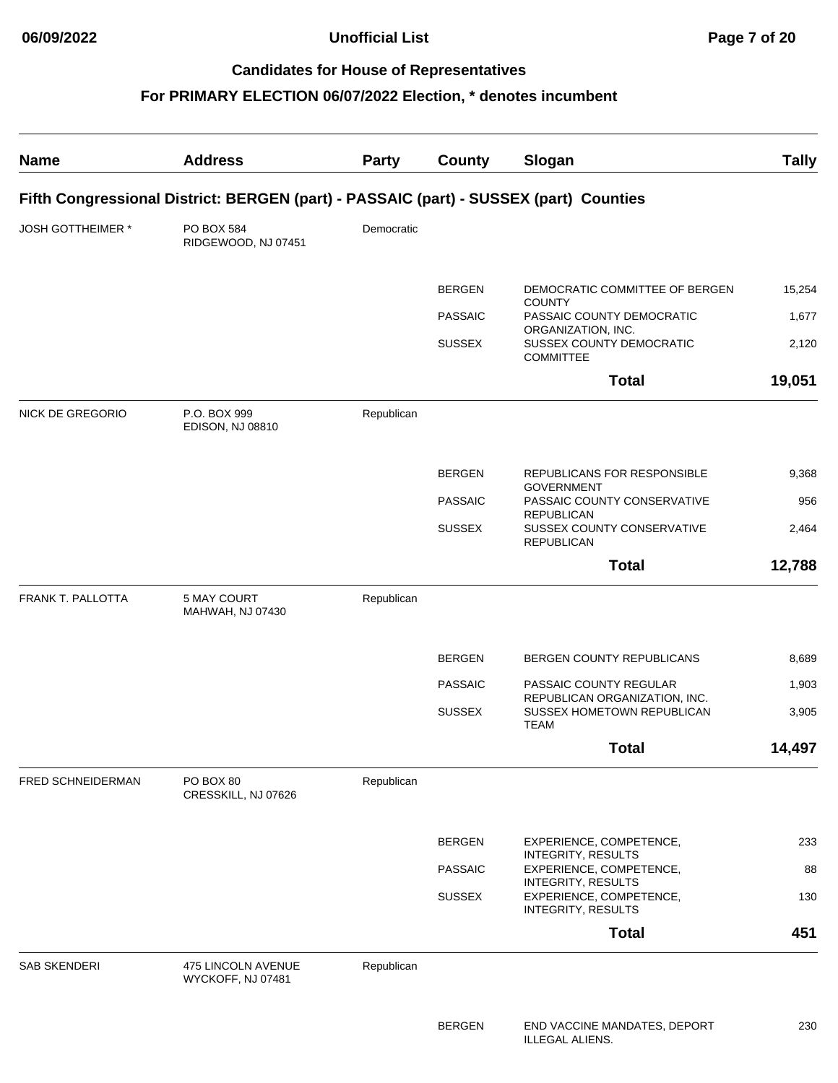| <b>Name</b>         | <b>Address</b>                                                                        | <b>Party</b> | County         | Slogan                                                                     | <b>Tally</b> |
|---------------------|---------------------------------------------------------------------------------------|--------------|----------------|----------------------------------------------------------------------------|--------------|
|                     | Fifth Congressional District: BERGEN (part) - PASSAIC (part) - SUSSEX (part) Counties |              |                |                                                                            |              |
| JOSH GOTTHEIMER *   | PO BOX 584<br>RIDGEWOOD, NJ 07451                                                     | Democratic   |                |                                                                            |              |
|                     |                                                                                       |              | <b>BERGEN</b>  | DEMOCRATIC COMMITTEE OF BERGEN                                             | 15,254       |
|                     |                                                                                       |              | <b>PASSAIC</b> | <b>COUNTY</b><br>PASSAIC COUNTY DEMOCRATIC                                 | 1,677        |
|                     |                                                                                       |              | <b>SUSSEX</b>  | ORGANIZATION, INC.<br>SUSSEX COUNTY DEMOCRATIC<br><b>COMMITTEE</b>         | 2,120        |
|                     |                                                                                       |              |                | <b>Total</b>                                                               | 19,051       |
| NICK DE GREGORIO    | P.O. BOX 999<br><b>EDISON, NJ 08810</b>                                               | Republican   |                |                                                                            |              |
|                     |                                                                                       |              | <b>BERGEN</b>  | REPUBLICANS FOR RESPONSIBLE<br><b>GOVERNMENT</b>                           | 9,368        |
|                     |                                                                                       |              | <b>PASSAIC</b> | PASSAIC COUNTY CONSERVATIVE<br><b>REPUBLICAN</b>                           | 956          |
|                     |                                                                                       |              | <b>SUSSEX</b>  | SUSSEX COUNTY CONSERVATIVE<br><b>REPUBLICAN</b>                            | 2,464        |
|                     |                                                                                       |              |                | <b>Total</b>                                                               | 12,788       |
| FRANK T. PALLOTTA   | 5 MAY COURT<br>MAHWAH, NJ 07430                                                       | Republican   |                |                                                                            |              |
|                     |                                                                                       |              | <b>BERGEN</b>  | <b>BERGEN COUNTY REPUBLICANS</b>                                           | 8,689        |
|                     |                                                                                       |              | <b>PASSAIC</b> | PASSAIC COUNTY REGULAR                                                     | 1,903        |
|                     |                                                                                       |              | <b>SUSSEX</b>  | REPUBLICAN ORGANIZATION, INC.<br>SUSSEX HOMETOWN REPUBLICAN<br><b>TEAM</b> | 3,905        |
|                     |                                                                                       |              |                | Total                                                                      | 14,497       |
| FRED SCHNEIDERMAN   | PO BOX 80<br>CRESSKILL, NJ 07626                                                      | Republican   |                |                                                                            |              |
|                     |                                                                                       |              | <b>BERGEN</b>  | EXPERIENCE, COMPETENCE,                                                    | 233          |
|                     |                                                                                       |              | <b>PASSAIC</b> | <b>INTEGRITY, RESULTS</b><br>EXPERIENCE, COMPETENCE,                       | 88           |
|                     |                                                                                       |              | <b>SUSSEX</b>  | <b>INTEGRITY, RESULTS</b><br>EXPERIENCE, COMPETENCE,<br>INTEGRITY, RESULTS | 130          |
|                     |                                                                                       |              |                | <b>Total</b>                                                               | 451          |
| <b>SAB SKENDERI</b> | 475 LINCOLN AVENUE<br>WYCKOFF, NJ 07481                                               | Republican   |                |                                                                            |              |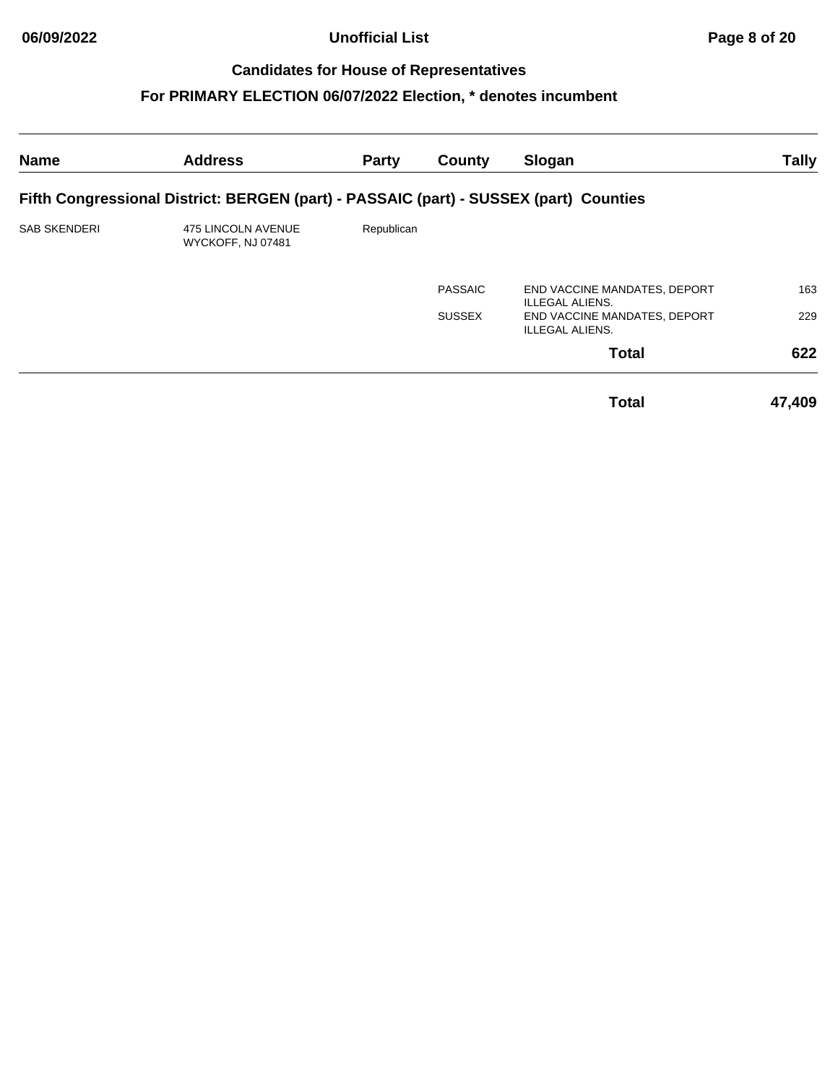**06/09/2022 Unofficial List Page 8 of 20**

# **Candidates for House of Representatives**

| <b>Name</b>         | <b>Address</b>                                                                        | <b>Party</b> | County         | Slogan                                                 | <b>Tally</b> |
|---------------------|---------------------------------------------------------------------------------------|--------------|----------------|--------------------------------------------------------|--------------|
|                     | Fifth Congressional District: BERGEN (part) - PASSAIC (part) - SUSSEX (part) Counties |              |                |                                                        |              |
| <b>SAB SKENDERI</b> | 475 LINCOLN AVENUE<br>WYCKOFF, NJ 07481                                               | Republican   |                |                                                        |              |
|                     |                                                                                       |              | <b>PASSAIC</b> | END VACCINE MANDATES, DEPORT<br>ILLEGAL ALIENS.        | 163          |
|                     |                                                                                       |              | <b>SUSSEX</b>  | END VACCINE MANDATES, DEPORT<br><b>ILLEGAL ALIENS.</b> | 229          |
|                     |                                                                                       |              |                | <b>Total</b>                                           | 622          |
|                     |                                                                                       |              |                | <b>Total</b>                                           | 47,409       |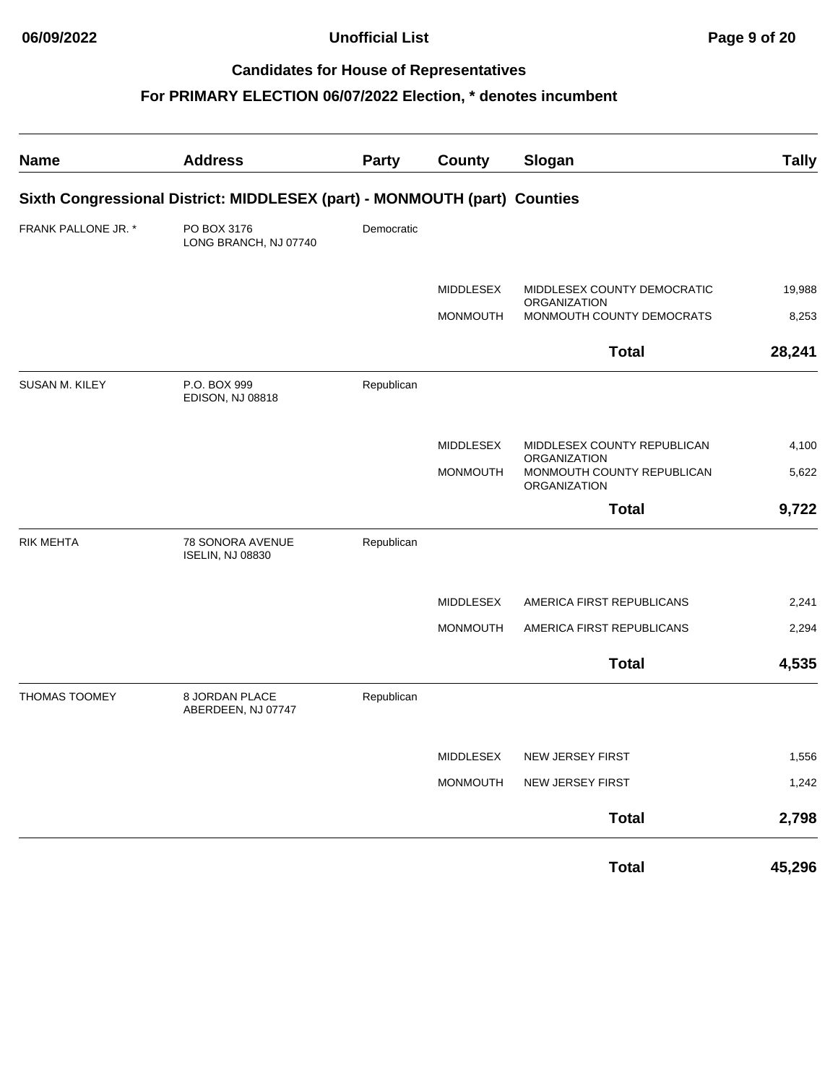**06/09/2022 Unofficial List Page 9 of 20**

# **Candidates for House of Representatives**

| <b>Name</b>          | <b>Address</b>                                                            | Party      | <b>County</b>    | Slogan                                                            | <b>Tally</b> |
|----------------------|---------------------------------------------------------------------------|------------|------------------|-------------------------------------------------------------------|--------------|
|                      | Sixth Congressional District: MIDDLESEX (part) - MONMOUTH (part) Counties |            |                  |                                                                   |              |
| FRANK PALLONE JR. *  | PO BOX 3176<br>LONG BRANCH, NJ 07740                                      | Democratic |                  |                                                                   |              |
|                      |                                                                           |            | MIDDLESEX        | MIDDLESEX COUNTY DEMOCRATIC<br>ORGANIZATION                       | 19,988       |
|                      |                                                                           |            | <b>MONMOUTH</b>  | MONMOUTH COUNTY DEMOCRATS                                         | 8,253        |
|                      |                                                                           |            |                  | <b>Total</b>                                                      | 28,241       |
| SUSAN M. KILEY       | P.O. BOX 999<br><b>EDISON, NJ 08818</b>                                   | Republican |                  |                                                                   |              |
|                      |                                                                           |            | <b>MIDDLESEX</b> | MIDDLESEX COUNTY REPUBLICAN                                       | 4,100        |
|                      |                                                                           |            | <b>MONMOUTH</b>  | ORGANIZATION<br>MONMOUTH COUNTY REPUBLICAN<br><b>ORGANIZATION</b> | 5,622        |
|                      |                                                                           |            |                  | <b>Total</b>                                                      | 9,722        |
| <b>RIK MEHTA</b>     | 78 SONORA AVENUE<br><b>ISELIN, NJ 08830</b>                               | Republican |                  |                                                                   |              |
|                      |                                                                           |            | MIDDLESEX        | AMERICA FIRST REPUBLICANS                                         | 2,241        |
|                      |                                                                           |            | <b>MONMOUTH</b>  | AMERICA FIRST REPUBLICANS                                         | 2,294        |
|                      |                                                                           |            |                  | <b>Total</b>                                                      | 4,535        |
| <b>THOMAS TOOMEY</b> | 8 JORDAN PLACE<br>ABERDEEN, NJ 07747                                      | Republican |                  |                                                                   |              |
|                      |                                                                           |            |                  | MIDDLESEX NEW JERSEY FIRST                                        | 1,556        |
|                      |                                                                           |            | MONMOUTH         | NEW JERSEY FIRST                                                  | 1,242        |
|                      |                                                                           |            |                  | <b>Total</b>                                                      | 2,798        |
|                      |                                                                           |            |                  | <b>Total</b>                                                      | 45,296       |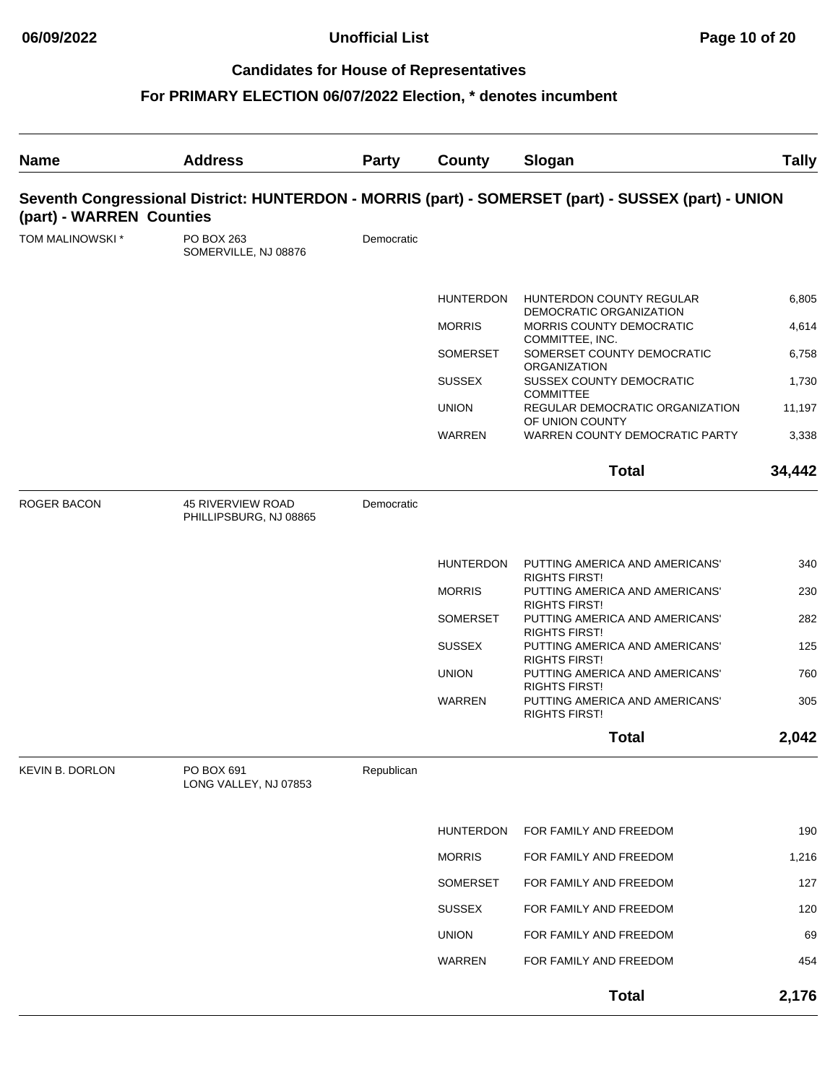| <b>Name</b>              | <b>Address</b>                                     | <b>Party</b> | County           | Slogan                                                                                              | <b>Tally</b> |
|--------------------------|----------------------------------------------------|--------------|------------------|-----------------------------------------------------------------------------------------------------|--------------|
| (part) - WARREN Counties |                                                    |              |                  | Seventh Congressional District: HUNTERDON - MORRIS (part) - SOMERSET (part) - SUSSEX (part) - UNION |              |
| TOM MALINOWSKI *         | PO BOX 263<br>SOMERVILLE, NJ 08876                 | Democratic   |                  |                                                                                                     |              |
|                          |                                                    |              | <b>HUNTERDON</b> | HUNTERDON COUNTY REGULAR<br>DEMOCRATIC ORGANIZATION                                                 | 6,805        |
|                          |                                                    |              | <b>MORRIS</b>    | MORRIS COUNTY DEMOCRATIC<br>COMMITTEE, INC.                                                         | 4,614        |
|                          |                                                    |              | <b>SOMERSET</b>  | SOMERSET COUNTY DEMOCRATIC<br><b>ORGANIZATION</b>                                                   | 6,758        |
|                          |                                                    |              | <b>SUSSEX</b>    | SUSSEX COUNTY DEMOCRATIC                                                                            | 1,730        |
|                          |                                                    |              | <b>UNION</b>     | <b>COMMITTEE</b><br>REGULAR DEMOCRATIC ORGANIZATION<br>OF UNION COUNTY                              | 11,197       |
|                          |                                                    |              | <b>WARREN</b>    | WARREN COUNTY DEMOCRATIC PARTY                                                                      | 3,338        |
|                          |                                                    |              |                  | <b>Total</b>                                                                                        | 34,442       |
| <b>ROGER BACON</b>       | <b>45 RIVERVIEW ROAD</b><br>PHILLIPSBURG, NJ 08865 | Democratic   |                  |                                                                                                     |              |
|                          |                                                    |              | <b>HUNTERDON</b> | PUTTING AMERICA AND AMERICANS'<br><b>RIGHTS FIRST!</b>                                              | 340          |
|                          |                                                    |              | <b>MORRIS</b>    | PUTTING AMERICA AND AMERICANS'                                                                      | 230          |
|                          |                                                    |              | <b>SOMERSET</b>  | <b>RIGHTS FIRST!</b><br>PUTTING AMERICA AND AMERICANS'                                              | 282          |
|                          |                                                    |              | <b>SUSSEX</b>    | <b>RIGHTS FIRST!</b><br>PUTTING AMERICA AND AMERICANS'                                              | 125          |
|                          |                                                    |              | <b>UNION</b>     | <b>RIGHTS FIRST!</b><br>PUTTING AMERICA AND AMERICANS'                                              | 760          |
|                          |                                                    |              | <b>WARREN</b>    | <b>RIGHTS FIRST!</b><br>PUTTING AMERICA AND AMERICANS'<br><b>RIGHTS FIRST!</b>                      | 305          |
|                          |                                                    |              |                  | <b>Total</b>                                                                                        | 2,042        |
| <b>KEVIN B. DORLON</b>   | PO BOX 691<br>LONG VALLEY, NJ 07853                | Republican   |                  |                                                                                                     |              |
|                          |                                                    |              | <b>HUNTERDON</b> | FOR FAMILY AND FREEDOM                                                                              | 190          |
|                          |                                                    |              | <b>MORRIS</b>    | FOR FAMILY AND FREEDOM                                                                              | 1,216        |
|                          |                                                    |              | SOMERSET         | FOR FAMILY AND FREEDOM                                                                              | 127          |
|                          |                                                    |              | <b>SUSSEX</b>    | FOR FAMILY AND FREEDOM                                                                              | 120          |
|                          |                                                    |              | <b>UNION</b>     | FOR FAMILY AND FREEDOM                                                                              | 69           |
|                          |                                                    |              | <b>WARREN</b>    | FOR FAMILY AND FREEDOM                                                                              | 454          |
|                          |                                                    |              |                  | <b>Total</b>                                                                                        | 2,176        |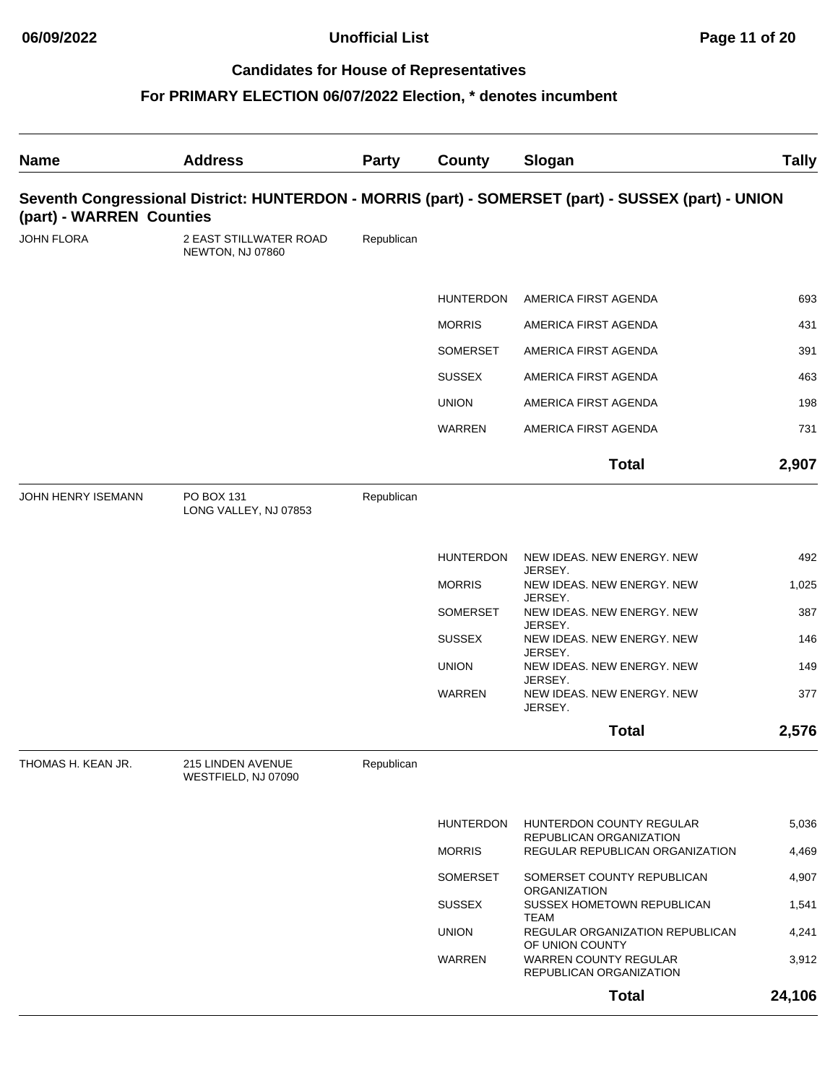| <b>Name</b>               | <b>Address</b>                             | Party      | County           | Slogan                                                                                              | <b>Tally</b> |
|---------------------------|--------------------------------------------|------------|------------------|-----------------------------------------------------------------------------------------------------|--------------|
| (part) - WARREN Counties  |                                            |            |                  | Seventh Congressional District: HUNTERDON - MORRIS (part) - SOMERSET (part) - SUSSEX (part) - UNION |              |
| JOHN FLORA                | 2 EAST STILLWATER ROAD<br>NEWTON, NJ 07860 | Republican |                  |                                                                                                     |              |
|                           |                                            |            | <b>HUNTERDON</b> | AMERICA FIRST AGENDA                                                                                | 693          |
|                           |                                            |            | <b>MORRIS</b>    | AMERICA FIRST AGENDA                                                                                | 431          |
|                           |                                            |            | SOMERSET         | AMERICA FIRST AGENDA                                                                                | 391          |
|                           |                                            |            | <b>SUSSEX</b>    | AMERICA FIRST AGENDA                                                                                | 463          |
|                           |                                            |            | <b>UNION</b>     | AMERICA FIRST AGENDA                                                                                | 198          |
|                           |                                            |            | <b>WARREN</b>    | AMERICA FIRST AGENDA                                                                                | 731          |
|                           |                                            |            |                  | <b>Total</b>                                                                                        | 2,907        |
| <b>JOHN HENRY ISEMANN</b> | PO BOX 131<br>LONG VALLEY, NJ 07853        | Republican |                  |                                                                                                     |              |
|                           |                                            |            | <b>HUNTERDON</b> | NEW IDEAS. NEW ENERGY. NEW                                                                          | 492          |
|                           |                                            |            | <b>MORRIS</b>    | JERSEY.<br>NEW IDEAS. NEW ENERGY. NEW<br>JERSEY.                                                    | 1,025        |
|                           |                                            |            | <b>SOMERSET</b>  | NEW IDEAS. NEW ENERGY. NEW                                                                          | 387          |
|                           |                                            |            | <b>SUSSEX</b>    | JERSEY.<br>NEW IDEAS. NEW ENERGY. NEW                                                               | 146          |
|                           |                                            |            | <b>UNION</b>     | JERSEY.<br>NEW IDEAS. NEW ENERGY. NEW                                                               | 149          |
|                           |                                            |            | <b>WARREN</b>    | JERSEY.<br>NEW IDEAS. NEW ENERGY. NEW<br>JERSEY.                                                    | 377          |
|                           |                                            |            |                  | <b>Total</b>                                                                                        | 2,576        |
| THOMAS H. KEAN JR.        | 215 LINDEN AVENUE<br>WESTFIELD, NJ 07090   | Republican |                  |                                                                                                     |              |
|                           |                                            |            | <b>HUNTERDON</b> | HUNTERDON COUNTY REGULAR                                                                            | 5,036        |
|                           |                                            |            | <b>MORRIS</b>    | REPUBLICAN ORGANIZATION<br>REGULAR REPUBLICAN ORGANIZATION                                          | 4,469        |
|                           |                                            |            | SOMERSET         | SOMERSET COUNTY REPUBLICAN                                                                          | 4,907        |
|                           |                                            |            | <b>SUSSEX</b>    | ORGANIZATION<br>SUSSEX HOMETOWN REPUBLICAN                                                          | 1,541        |
|                           |                                            |            | <b>UNION</b>     | <b>TEAM</b><br>REGULAR ORGANIZATION REPUBLICAN                                                      | 4,241        |
|                           |                                            |            | WARREN           | OF UNION COUNTY<br><b>WARREN COUNTY REGULAR</b><br>REPUBLICAN ORGANIZATION                          | 3,912        |
|                           |                                            |            |                  | <b>Total</b>                                                                                        | 24,106       |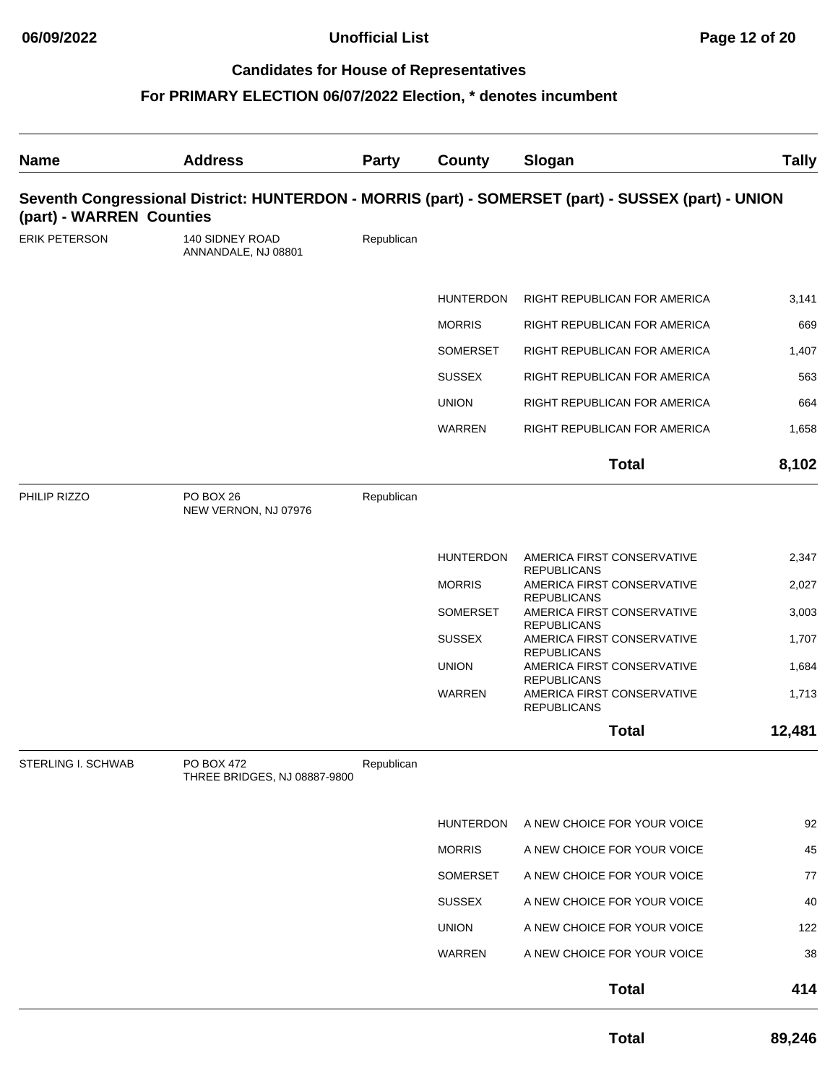| <b>Name</b>              | <b>Address</b>                             | <b>Party</b> | <b>County</b>    | Slogan                                                                                              | <b>Tally</b> |
|--------------------------|--------------------------------------------|--------------|------------------|-----------------------------------------------------------------------------------------------------|--------------|
| (part) - WARREN Counties |                                            |              |                  | Seventh Congressional District: HUNTERDON - MORRIS (part) - SOMERSET (part) - SUSSEX (part) - UNION |              |
| ERIK PETERSON            | 140 SIDNEY ROAD<br>ANNANDALE, NJ 08801     | Republican   |                  |                                                                                                     |              |
|                          |                                            |              | <b>HUNTERDON</b> | RIGHT REPUBLICAN FOR AMERICA                                                                        | 3,141        |
|                          |                                            |              | <b>MORRIS</b>    | RIGHT REPUBLICAN FOR AMERICA                                                                        | 669          |
|                          |                                            |              | <b>SOMERSET</b>  | RIGHT REPUBLICAN FOR AMERICA                                                                        | 1,407        |
|                          |                                            |              | <b>SUSSEX</b>    | RIGHT REPUBLICAN FOR AMERICA                                                                        | 563          |
|                          |                                            |              | <b>UNION</b>     | RIGHT REPUBLICAN FOR AMERICA                                                                        | 664          |
|                          |                                            |              | <b>WARREN</b>    | RIGHT REPUBLICAN FOR AMERICA                                                                        | 1,658        |
|                          |                                            |              |                  | <b>Total</b>                                                                                        | 8,102        |
| PHILIP RIZZO             | PO BOX 26<br>NEW VERNON, NJ 07976          | Republican   |                  |                                                                                                     |              |
|                          |                                            |              | <b>HUNTERDON</b> | AMERICA FIRST CONSERVATIVE                                                                          | 2,347        |
|                          |                                            |              | <b>MORRIS</b>    | <b>REPUBLICANS</b><br>AMERICA FIRST CONSERVATIVE                                                    | 2,027        |
|                          |                                            |              | <b>SOMERSET</b>  | <b>REPUBLICANS</b><br>AMERICA FIRST CONSERVATIVE<br><b>REPUBLICANS</b>                              | 3,003        |
|                          |                                            |              | <b>SUSSEX</b>    | AMERICA FIRST CONSERVATIVE                                                                          | 1,707        |
|                          |                                            |              | <b>UNION</b>     | <b>REPUBLICANS</b><br>AMERICA FIRST CONSERVATIVE                                                    | 1,684        |
|                          |                                            |              | <b>WARREN</b>    | <b>REPUBLICANS</b><br>AMERICA FIRST CONSERVATIVE<br><b>REPUBLICANS</b>                              | 1,713        |
|                          |                                            |              |                  | <b>Total</b>                                                                                        | 12,481       |
| STERLING I. SCHWAB       | PO BOX 472<br>THREE BRIDGES, NJ 08887-9800 | Republican   |                  |                                                                                                     |              |
|                          |                                            |              | <b>HUNTERDON</b> | A NEW CHOICE FOR YOUR VOICE                                                                         | 92           |
|                          |                                            |              | <b>MORRIS</b>    | A NEW CHOICE FOR YOUR VOICE                                                                         | 45           |
|                          |                                            |              | SOMERSET         | A NEW CHOICE FOR YOUR VOICE                                                                         | 77           |
|                          |                                            |              | <b>SUSSEX</b>    | A NEW CHOICE FOR YOUR VOICE                                                                         | 40           |
|                          |                                            |              | <b>UNION</b>     | A NEW CHOICE FOR YOUR VOICE                                                                         | 122          |
|                          |                                            |              | WARREN           | A NEW CHOICE FOR YOUR VOICE                                                                         | 38           |
|                          |                                            |              |                  | <b>Total</b>                                                                                        | 414          |
|                          |                                            |              |                  | <b>Total</b>                                                                                        | 89,246       |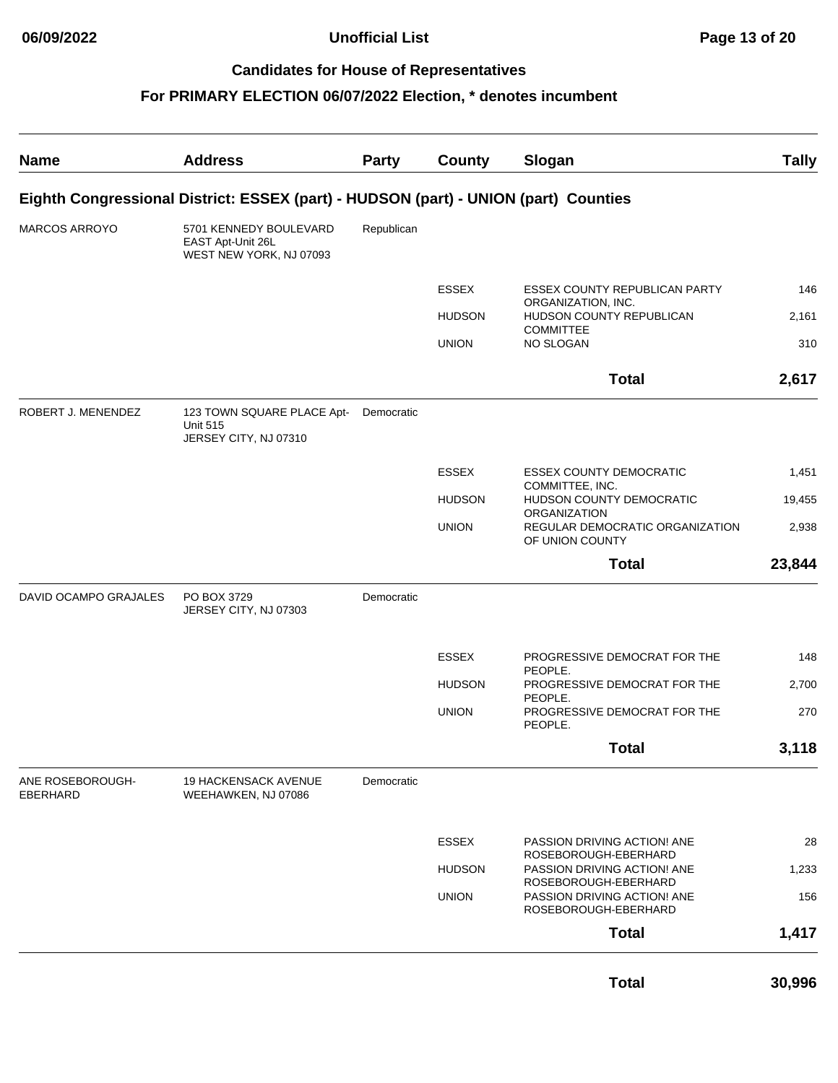| <b>Name</b>                  | <b>Address</b>                                                                      | <b>Party</b> | County        | Slogan                                                                      | <b>Tally</b> |
|------------------------------|-------------------------------------------------------------------------------------|--------------|---------------|-----------------------------------------------------------------------------|--------------|
|                              | Eighth Congressional District: ESSEX (part) - HUDSON (part) - UNION (part) Counties |              |               |                                                                             |              |
| MARCOS ARROYO                | 5701 KENNEDY BOULEVARD<br>EAST Apt-Unit 26L<br>WEST NEW YORK, NJ 07093              | Republican   |               |                                                                             |              |
|                              |                                                                                     |              | <b>ESSEX</b>  | <b>ESSEX COUNTY REPUBLICAN PARTY</b>                                        | 146          |
|                              |                                                                                     |              | <b>HUDSON</b> | ORGANIZATION, INC.<br>HUDSON COUNTY REPUBLICAN<br><b>COMMITTEE</b>          | 2,161        |
|                              |                                                                                     |              | <b>UNION</b>  | NO SLOGAN                                                                   | 310          |
|                              |                                                                                     |              |               | <b>Total</b>                                                                | 2,617        |
| ROBERT J. MENENDEZ           | 123 TOWN SQUARE PLACE Apt-<br><b>Unit 515</b><br>JERSEY CITY, NJ 07310              | Democratic   |               |                                                                             |              |
|                              |                                                                                     |              | <b>ESSEX</b>  | <b>ESSEX COUNTY DEMOCRATIC</b>                                              | 1,451        |
|                              |                                                                                     |              | <b>HUDSON</b> | COMMITTEE, INC.<br>HUDSON COUNTY DEMOCRATIC<br><b>ORGANIZATION</b>          | 19,455       |
|                              |                                                                                     |              | <b>UNION</b>  | REGULAR DEMOCRATIC ORGANIZATION<br>OF UNION COUNTY                          | 2,938        |
|                              |                                                                                     |              |               | <b>Total</b>                                                                | 23,844       |
| DAVID OCAMPO GRAJALES        | PO BOX 3729<br>JERSEY CITY, NJ 07303                                                | Democratic   |               |                                                                             |              |
|                              |                                                                                     |              | <b>ESSEX</b>  | PROGRESSIVE DEMOCRAT FOR THE<br>PEOPLE.                                     | 148          |
|                              |                                                                                     |              | <b>HUDSON</b> | PROGRESSIVE DEMOCRAT FOR THE<br>PEOPLE.                                     | 2,700        |
|                              |                                                                                     |              | <b>UNION</b>  | PROGRESSIVE DEMOCRAT FOR THE<br>PEOPLE.                                     | 270          |
|                              |                                                                                     |              |               | Total                                                                       | 3,118        |
| ANE ROSEBOROUGH-<br>EBERHARD | <b>19 HACKENSACK AVENUE</b><br>WEEHAWKEN, NJ 07086                                  | Democratic   |               |                                                                             |              |
|                              |                                                                                     |              | ESSEX         | PASSION DRIVING ACTION! ANE                                                 | 28           |
|                              |                                                                                     |              | <b>HUDSON</b> | ROSEBOROUGH-EBERHARD<br>PASSION DRIVING ACTION! ANE                         | 1,233        |
|                              |                                                                                     |              | <b>UNION</b>  | ROSEBOROUGH-EBERHARD<br>PASSION DRIVING ACTION! ANE<br>ROSEBOROUGH-EBERHARD | 156          |
|                              |                                                                                     |              |               | <b>Total</b>                                                                | 1,417        |
|                              |                                                                                     |              |               | <b>Total</b>                                                                | 30,996       |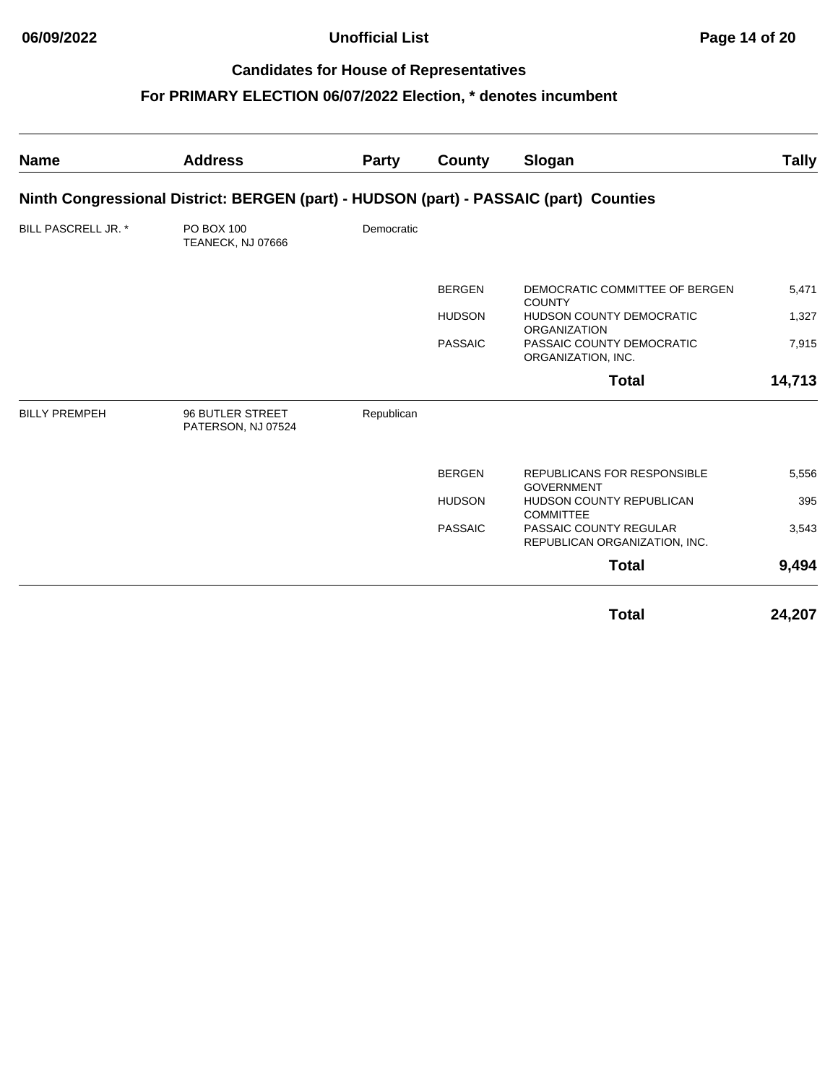| <b>Name</b>          | <b>Address</b>                                                                        | <b>Party</b> | County         | Slogan                                                  | <b>Tally</b> |
|----------------------|---------------------------------------------------------------------------------------|--------------|----------------|---------------------------------------------------------|--------------|
|                      | Ninth Congressional District: BERGEN (part) - HUDSON (part) - PASSAIC (part) Counties |              |                |                                                         |              |
| BILL PASCRELL JR. *  | PO BOX 100<br>TEANECK, NJ 07666                                                       | Democratic   |                |                                                         |              |
|                      |                                                                                       |              | <b>BERGEN</b>  | DEMOCRATIC COMMITTEE OF BERGEN<br><b>COUNTY</b>         | 5,471        |
|                      |                                                                                       |              | <b>HUDSON</b>  | <b>HUDSON COUNTY DEMOCRATIC</b><br><b>ORGANIZATION</b>  | 1,327        |
|                      |                                                                                       |              | <b>PASSAIC</b> | PASSAIC COUNTY DEMOCRATIC<br>ORGANIZATION, INC.         | 7,915        |
|                      |                                                                                       |              |                | <b>Total</b>                                            | 14,713       |
| <b>BILLY PREMPEH</b> | 96 BUTLER STREET<br>PATERSON, NJ 07524                                                | Republican   |                |                                                         |              |
|                      |                                                                                       |              | <b>BERGEN</b>  | REPUBLICANS FOR RESPONSIBLE<br><b>GOVERNMENT</b>        | 5,556        |
|                      |                                                                                       |              | <b>HUDSON</b>  | <b>HUDSON COUNTY REPUBLICAN</b><br><b>COMMITTEE</b>     | 395          |
|                      |                                                                                       |              | <b>PASSAIC</b> | PASSAIC COUNTY REGULAR<br>REPUBLICAN ORGANIZATION, INC. | 3,543        |
|                      |                                                                                       |              |                | <b>Total</b>                                            | 9,494        |
|                      |                                                                                       |              |                | <b>Total</b>                                            | 24,207       |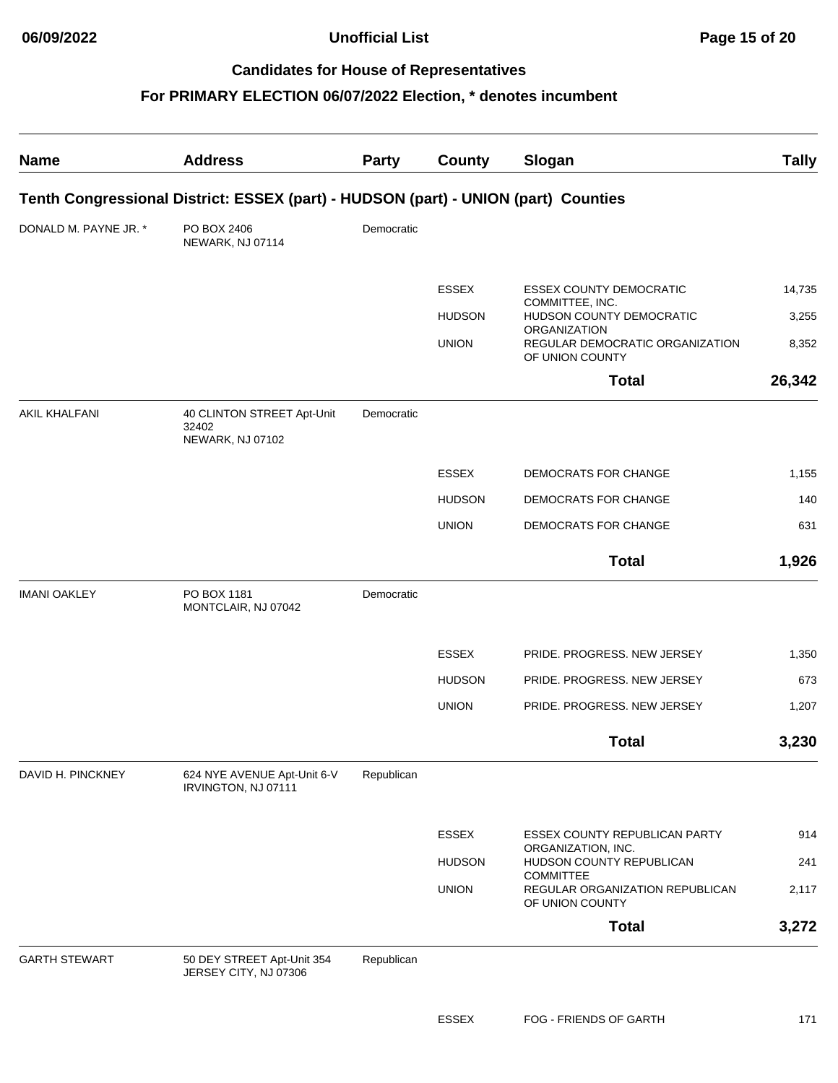**06/09/2022 Unofficial List Page 15 of 20**

#### **Candidates for House of Representatives**

| <b>Name</b>           | <b>Address</b>                                                                     | <b>Party</b> | County        | Slogan                                                                    | <b>Tally</b> |
|-----------------------|------------------------------------------------------------------------------------|--------------|---------------|---------------------------------------------------------------------------|--------------|
|                       | Tenth Congressional District: ESSEX (part) - HUDSON (part) - UNION (part) Counties |              |               |                                                                           |              |
| DONALD M. PAYNE JR. * | PO BOX 2406<br>NEWARK, NJ 07114                                                    | Democratic   |               |                                                                           |              |
|                       |                                                                                    |              | <b>ESSEX</b>  | <b>ESSEX COUNTY DEMOCRATIC</b>                                            | 14,735       |
|                       |                                                                                    |              | <b>HUDSON</b> | COMMITTEE, INC.<br>HUDSON COUNTY DEMOCRATIC                               | 3,255        |
|                       |                                                                                    |              | <b>UNION</b>  | <b>ORGANIZATION</b><br>REGULAR DEMOCRATIC ORGANIZATION<br>OF UNION COUNTY | 8,352        |
|                       |                                                                                    |              |               | <b>Total</b>                                                              | 26,342       |
| <b>AKIL KHALFANI</b>  | 40 CLINTON STREET Apt-Unit<br>32402<br>NEWARK, NJ 07102                            | Democratic   |               |                                                                           |              |
|                       |                                                                                    |              | <b>ESSEX</b>  | DEMOCRATS FOR CHANGE                                                      | 1,155        |
|                       |                                                                                    |              | <b>HUDSON</b> | DEMOCRATS FOR CHANGE                                                      | 140          |
|                       |                                                                                    |              | <b>UNION</b>  | DEMOCRATS FOR CHANGE                                                      | 631          |
|                       |                                                                                    |              |               | <b>Total</b>                                                              | 1,926        |
| <b>IMANI OAKLEY</b>   | PO BOX 1181<br>MONTCLAIR, NJ 07042                                                 | Democratic   |               |                                                                           |              |
|                       |                                                                                    |              | <b>ESSEX</b>  | PRIDE. PROGRESS. NEW JERSEY                                               | 1,350        |
|                       |                                                                                    |              | <b>HUDSON</b> | PRIDE. PROGRESS. NEW JERSEY                                               | 673          |
|                       |                                                                                    |              | <b>UNION</b>  | PRIDE. PROGRESS. NEW JERSEY                                               | 1,207        |
|                       |                                                                                    |              |               | <b>Total</b>                                                              | 3,230        |
| DAVID H. PINCKNEY     | 624 NYE AVENUE Apt-Unit 6-V<br>IRVINGTON, NJ 07111                                 | Republican   |               |                                                                           |              |
|                       |                                                                                    |              | <b>ESSEX</b>  | ESSEX COUNTY REPUBLICAN PARTY                                             | 914          |
|                       |                                                                                    |              | <b>HUDSON</b> | ORGANIZATION, INC.<br>HUDSON COUNTY REPUBLICAN                            | 241          |
|                       |                                                                                    |              | <b>UNION</b>  | <b>COMMITTEE</b><br>REGULAR ORGANIZATION REPUBLICAN<br>OF UNION COUNTY    | 2,117        |
|                       |                                                                                    |              |               | <b>Total</b>                                                              | 3,272        |
| <b>GARTH STEWART</b>  | 50 DEY STREET Apt-Unit 354<br>JERSEY CITY, NJ 07306                                | Republican   |               |                                                                           |              |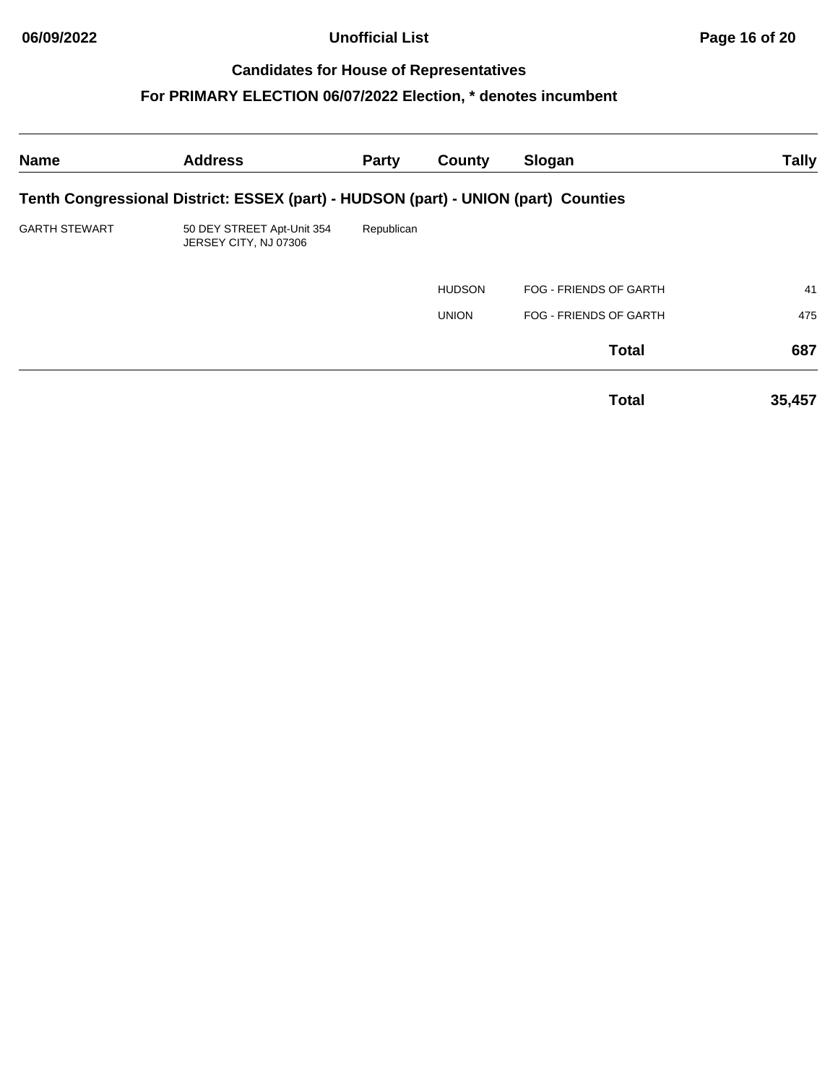**06/09/2022 Unofficial List Page 16 of 20**

# **Candidates for House of Representatives**

| <b>Name</b>          | <b>Address</b>                                                                     | <b>Party</b> | County        | Slogan                        | <b>Tally</b> |
|----------------------|------------------------------------------------------------------------------------|--------------|---------------|-------------------------------|--------------|
|                      | Tenth Congressional District: ESSEX (part) - HUDSON (part) - UNION (part) Counties |              |               |                               |              |
| <b>GARTH STEWART</b> | 50 DEY STREET Apt-Unit 354<br>JERSEY CITY, NJ 07306                                | Republican   |               |                               |              |
|                      |                                                                                    |              | <b>HUDSON</b> | FOG - FRIENDS OF GARTH        | 41           |
|                      |                                                                                    |              | <b>UNION</b>  | <b>FOG - FRIENDS OF GARTH</b> | 475          |
|                      |                                                                                    |              |               | <b>Total</b>                  | 687          |
|                      |                                                                                    |              |               | <b>Total</b>                  | 35,457       |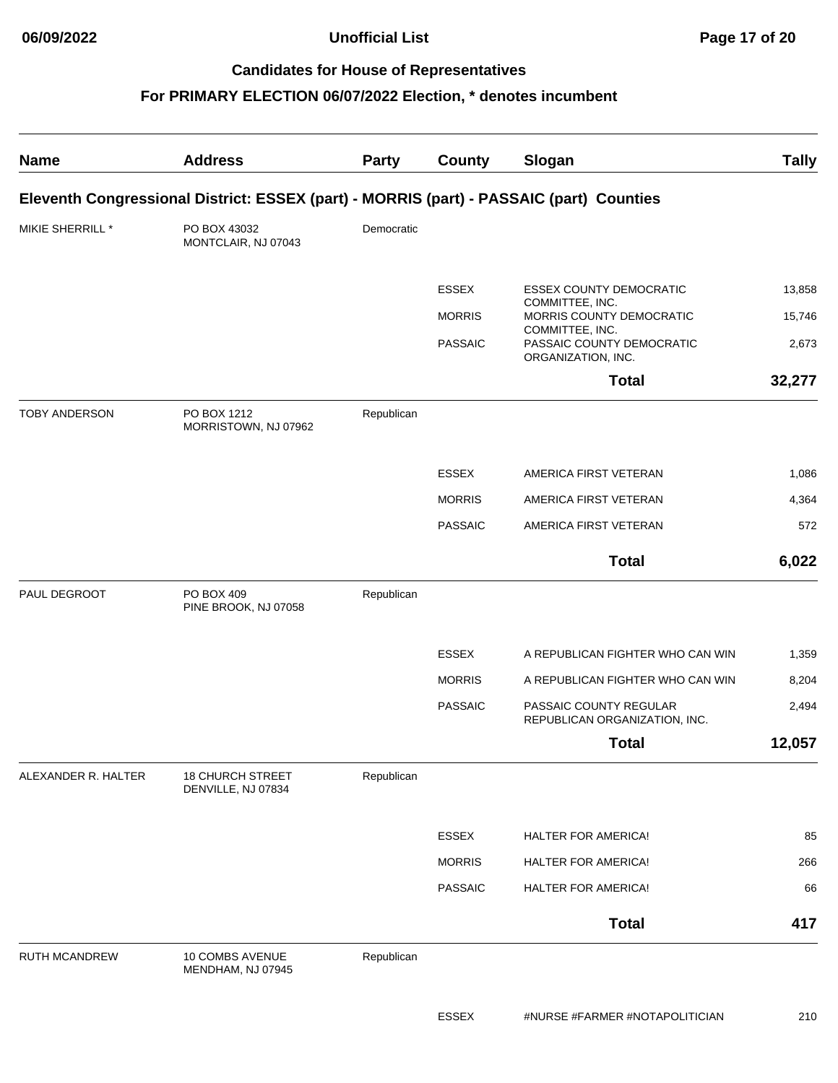**06/09/2022 Unofficial List Page 17 of 20**

#### **Candidates for House of Representatives**

| <b>Name</b>          | <b>Address</b>                                                                          | <b>Party</b> | <b>County</b>  | Slogan                                                             | <b>Tally</b> |
|----------------------|-----------------------------------------------------------------------------------------|--------------|----------------|--------------------------------------------------------------------|--------------|
|                      | Eleventh Congressional District: ESSEX (part) - MORRIS (part) - PASSAIC (part) Counties |              |                |                                                                    |              |
| MIKIE SHERRILL *     | PO BOX 43032<br>MONTCLAIR, NJ 07043                                                     | Democratic   |                |                                                                    |              |
|                      |                                                                                         |              | <b>ESSEX</b>   | <b>ESSEX COUNTY DEMOCRATIC</b>                                     | 13,858       |
|                      |                                                                                         |              | <b>MORRIS</b>  | COMMITTEE, INC.<br>MORRIS COUNTY DEMOCRATIC                        | 15,746       |
|                      |                                                                                         |              | <b>PASSAIC</b> | COMMITTEE, INC.<br>PASSAIC COUNTY DEMOCRATIC<br>ORGANIZATION, INC. | 2,673        |
|                      |                                                                                         |              |                | <b>Total</b>                                                       | 32,277       |
| <b>TOBY ANDERSON</b> | PO BOX 1212<br>MORRISTOWN, NJ 07962                                                     | Republican   |                |                                                                    |              |
|                      |                                                                                         |              | <b>ESSEX</b>   | AMERICA FIRST VETERAN                                              | 1,086        |
|                      |                                                                                         |              | <b>MORRIS</b>  | AMERICA FIRST VETERAN                                              | 4,364        |
|                      |                                                                                         |              | <b>PASSAIC</b> | AMERICA FIRST VETERAN                                              | 572          |
|                      |                                                                                         |              |                | <b>Total</b>                                                       | 6,022        |
| PAUL DEGROOT         | PO BOX 409<br>PINE BROOK, NJ 07058                                                      | Republican   |                |                                                                    |              |
|                      |                                                                                         |              | <b>ESSEX</b>   | A REPUBLICAN FIGHTER WHO CAN WIN                                   | 1,359        |
|                      |                                                                                         |              | <b>MORRIS</b>  | A REPUBLICAN FIGHTER WHO CAN WIN                                   | 8,204        |
|                      |                                                                                         |              | <b>PASSAIC</b> | PASSAIC COUNTY REGULAR<br>REPUBLICAN ORGANIZATION, INC.            | 2,494        |
|                      |                                                                                         |              |                | <b>Total</b>                                                       | 12,057       |
| ALEXANDER R. HALTER  | <b>18 CHURCH STREET</b><br>DENVILLE, NJ 07834                                           | Republican   |                |                                                                    |              |
|                      |                                                                                         |              | <b>ESSEX</b>   | <b>HALTER FOR AMERICA!</b>                                         | 85           |
|                      |                                                                                         |              | <b>MORRIS</b>  | HALTER FOR AMERICA!                                                | 266          |
|                      |                                                                                         |              | <b>PASSAIC</b> | <b>HALTER FOR AMERICA!</b>                                         | 66           |
|                      |                                                                                         |              |                | <b>Total</b>                                                       | 417          |
| RUTH MCANDREW        | 10 COMBS AVENUE<br>MENDHAM, NJ 07945                                                    | Republican   |                |                                                                    |              |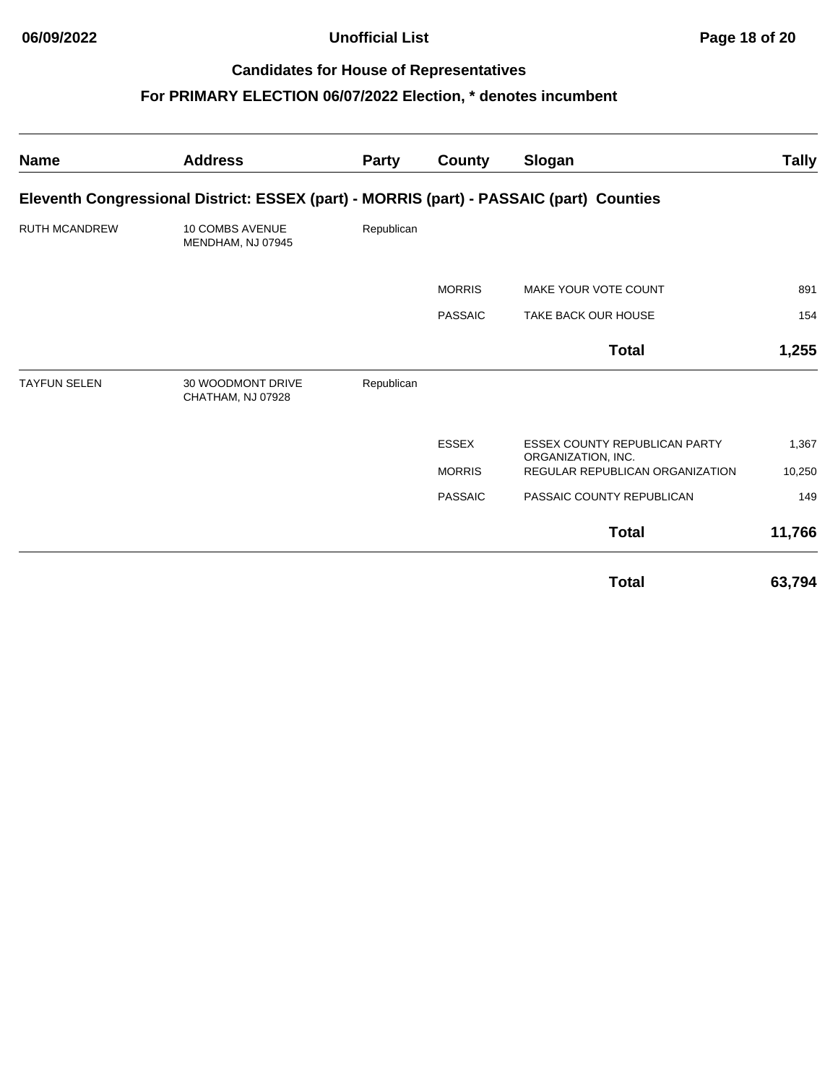**06/09/2022 Unofficial List Page 18 of 20**

# **Candidates for House of Representatives**

| <b>Name</b>          | <b>Address</b>                                                                          | Party      | County         | Slogan                                                     | Tally  |
|----------------------|-----------------------------------------------------------------------------------------|------------|----------------|------------------------------------------------------------|--------|
|                      | Eleventh Congressional District: ESSEX (part) - MORRIS (part) - PASSAIC (part) Counties |            |                |                                                            |        |
| <b>RUTH MCANDREW</b> | <b>10 COMBS AVENUE</b><br>MENDHAM, NJ 07945                                             | Republican |                |                                                            |        |
|                      |                                                                                         |            | <b>MORRIS</b>  | MAKE YOUR VOTE COUNT                                       | 891    |
|                      |                                                                                         |            | <b>PASSAIC</b> | <b>TAKE BACK OUR HOUSE</b>                                 | 154    |
|                      |                                                                                         |            |                | <b>Total</b>                                               | 1,255  |
| <b>TAYFUN SELEN</b>  | 30 WOODMONT DRIVE<br>CHATHAM, NJ 07928                                                  | Republican |                |                                                            |        |
|                      |                                                                                         |            | <b>ESSEX</b>   | <b>ESSEX COUNTY REPUBLICAN PARTY</b><br>ORGANIZATION, INC. | 1,367  |
|                      |                                                                                         |            | <b>MORRIS</b>  | REGULAR REPUBLICAN ORGANIZATION                            | 10,250 |
|                      |                                                                                         |            | <b>PASSAIC</b> | PASSAIC COUNTY REPUBLICAN                                  | 149    |
|                      |                                                                                         |            |                | <b>Total</b>                                               | 11,766 |
|                      |                                                                                         |            |                | <b>Total</b>                                               | 63,794 |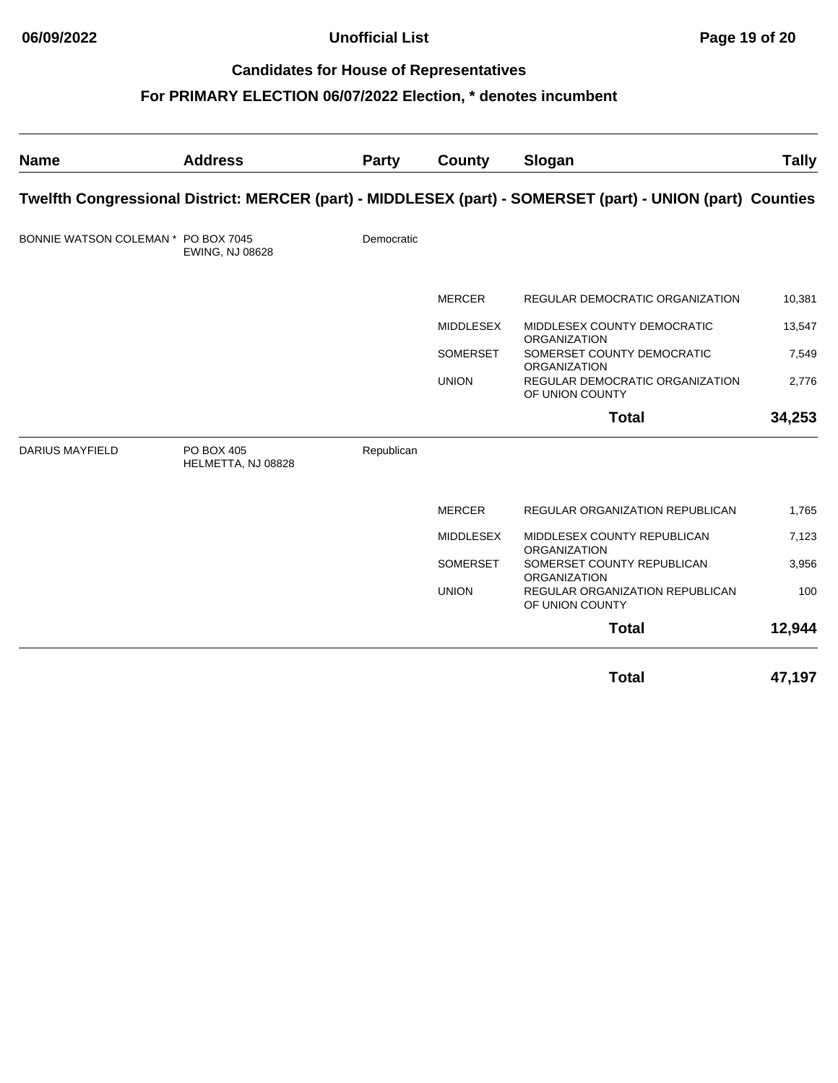**06/09/2022 Unofficial List Page 19 of 20**

# **Candidates for House of Representatives**

| <b>Name</b>                         | <b>Address</b>                          | <b>Party</b> | County           | Slogan                                                                                                     | <b>Tally</b> |
|-------------------------------------|-----------------------------------------|--------------|------------------|------------------------------------------------------------------------------------------------------------|--------------|
|                                     |                                         |              |                  | Twelfth Congressional District: MERCER (part) - MIDDLESEX (part) - SOMERSET (part) - UNION (part) Counties |              |
| BONNIE WATSON COLEMAN * PO BOX 7045 | EWING, NJ 08628                         | Democratic   |                  |                                                                                                            |              |
|                                     |                                         |              | <b>MERCER</b>    | <b>REGULAR DEMOCRATIC ORGANIZATION</b>                                                                     | 10,381       |
|                                     |                                         |              | <b>MIDDLESEX</b> | MIDDLESEX COUNTY DEMOCRATIC                                                                                | 13,547       |
|                                     |                                         |              | <b>SOMERSET</b>  | <b>ORGANIZATION</b><br>SOMERSET COUNTY DEMOCRATIC<br><b>ORGANIZATION</b>                                   | 7,549        |
|                                     |                                         |              | <b>UNION</b>     | <b>REGULAR DEMOCRATIC ORGANIZATION</b><br>OF UNION COUNTY                                                  | 2,776        |
|                                     |                                         |              |                  | <b>Total</b>                                                                                               | 34,253       |
| <b>DARIUS MAYFIELD</b>              | <b>PO BOX 405</b><br>HELMETTA, NJ 08828 | Republican   |                  |                                                                                                            |              |
|                                     |                                         |              | <b>MERCER</b>    | REGULAR ORGANIZATION REPUBLICAN                                                                            | 1,765        |
|                                     |                                         |              | <b>MIDDLESEX</b> | MIDDLESEX COUNTY REPUBLICAN                                                                                | 7,123        |
|                                     |                                         |              | <b>SOMERSET</b>  | <b>ORGANIZATION</b><br>SOMERSET COUNTY REPUBLICAN<br><b>ORGANIZATION</b>                                   | 3,956        |
|                                     |                                         |              | <b>UNION</b>     | REGULAR ORGANIZATION REPUBLICAN<br>OF UNION COUNTY                                                         | 100          |
|                                     |                                         |              |                  | <b>Total</b>                                                                                               | 12,944       |
|                                     |                                         |              |                  | <b>Total</b>                                                                                               | 47,197       |